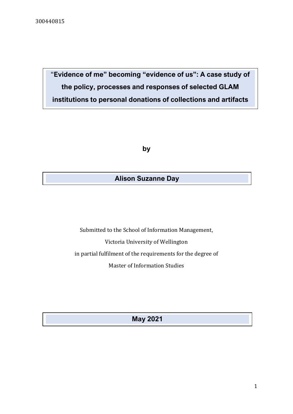"**Evidence of me" becoming "evidence of us": A case study of the policy, processes and responses of selected GLAM institutions to personal donations of collections and artifacts**

**by**

## **Alison Suzanne Day**

Submitted to the School of Information Management, Victoria University of Wellington in partial fulfilment of the requirements for the degree of Master of Information Studies

**May 2021**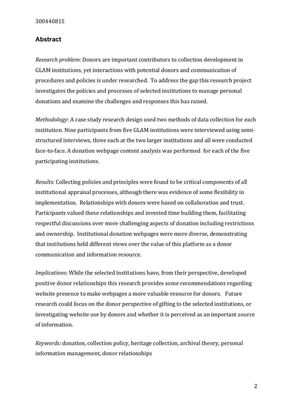## <span id="page-1-0"></span>**Abstract**

*Research problem*: Donors are important contributors to collection development in GLAM institutions, yet interactions with potential donors and communication of procedures and policies is under researched. To address the gap this research project investigates the policies and processes of selected institutions to manage personal donations and examine the challenges and responses this has raised.

*Methodology*: A case study research design used two methods of data collection for each institution. Nine participants from five GLAM institutions were interviewed using semistructured interviews, three each at the two larger institutions and all were conducted face-to-face. A donation webpage content analysis was performed for each of the five participating institutions.

*Results*: Collecting policies and principles were found to be critical components of all institutional appraisal processes, although there was evidence of some flexibility in implementation. Relationships with donors were based on collaboration and trust. Participants valued these relationships and invested time building them, facilitating respectful discussions over more challenging aspects of donation including restrictions and ownership. Institutional donation webpages were more diverse, demonstrating that institutions held different views over the value of this platform as a donor communication and information resource.

*Implications*: While the selected institutions have, from their perspective, developed positive donor relationships this research provides some recommendations regarding website presence to make webpages a more valuable resource for donors. Future research could focus on the donor perspective of gifting to the selected institutions, or investigating website use by donors and whether it is perceived as an important source of information.

*Keywords:* donation, collection policy, heritage collection, archival theory, personal information management, donor relationships

2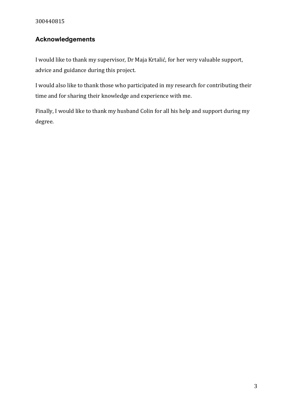# <span id="page-2-0"></span>**Acknowledgements**

I would like to thank my supervisor, Dr Maja Krtalić, for her very valuable support, advice and guidance during this project.

I would also like to thank those who participated in my research for contributing their time and for sharing their knowledge and experience with me.

Finally, I would like to thank my husband Colin for all his help and support during my degree.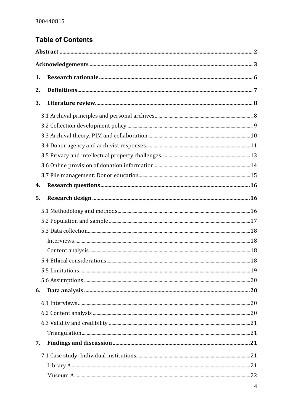# **Table of Contents**

| 1. |  |
|----|--|
| 2. |  |
| 3. |  |
|    |  |
|    |  |
|    |  |
|    |  |
|    |  |
|    |  |
|    |  |
| 4. |  |
| 5. |  |
|    |  |
|    |  |
|    |  |
|    |  |
|    |  |
|    |  |
|    |  |
|    |  |
| 6. |  |
|    |  |
|    |  |
|    |  |
|    |  |
| 7. |  |
|    |  |
|    |  |
|    |  |
|    |  |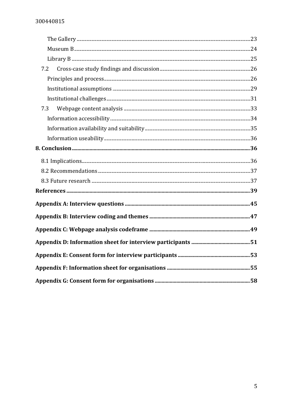| 7.2 |  |
|-----|--|
|     |  |
|     |  |
|     |  |
| 7.3 |  |
|     |  |
|     |  |
|     |  |
|     |  |
|     |  |
|     |  |
|     |  |
|     |  |
|     |  |
|     |  |
|     |  |
|     |  |
|     |  |
|     |  |
|     |  |
|     |  |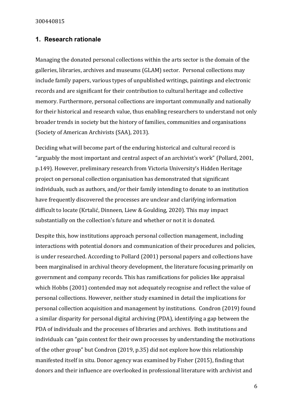#### <span id="page-5-0"></span>**1. Research rationale**

Managing the donated personal collections within the arts sector is the domain of the galleries, libraries, archives and museums (GLAM) sector. Personal collections may include family papers, various types of unpublished writings, paintings and electronic records and are significant for their contribution to cultural heritage and collective memory. Furthermore, personal collections are important communally and nationally for their historical and research value, thus enabling researchers to understand not only broader trends in society but the history of families, communities and organisations (Society of American Archivists (SAA), 2013).

Deciding what will become part of the enduring historical and cultural record is "arguably the most important and central aspect of an archivist's work" (Pollard, 2001, p.149). However, preliminary research from Victoria University's Hidden Heritage project on personal collection organisation has demonstrated that significant individuals, such as authors, and/or their family intending to donate to an institution have frequently discovered the processes are unclear and clarifying information difficult to locate (Krtalić, Dinneen, Liew & Goulding, 2020). This may impact substantially on the collection's future and whether or not it is donated.

Despite this, how institutions approach personal collection management, including interactions with potential donors and communication of their procedures and policies, is under researched. According to Pollard (2001) personal papers and collections have been marginalised in archival theory development, the literature focusing primarily on government and company records. This has ramifications for policies like appraisal which Hobbs (2001) contended may not adequately recognise and reflect the value of personal collections. However, neither study examined in detail the implications for personal collection acquisition and management by institutions. Condron (2019) found a similar disparity for personal digital archiving (PDA), identifying a gap between the PDA of individuals and the processes of libraries and archives. Both institutions and individuals can "gain context for their own processes by understanding the motivations of the other group" but Condron (2019, p.35) did not explore how this relationship manifested itself in situ. Donor agency was examined by Fisher (2015), finding that donors and their influence are overlooked in professional literature with archivist and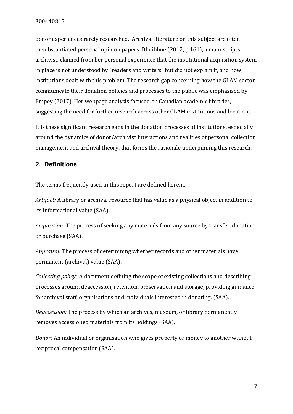donor experiences rarely researched. Archival literature on this subject are often unsubstantiated personal opinion papers. Dhuibhne (2012, p.161), a manuscripts archivist, claimed from her personal experience that the institutional acquisition system in place is not understood by "readers and writers" but did not explain if, and how, institutions dealt with this problem. The research gap concerning how the GLAM sector communicate their donation policies and processes to the public was emphasised by Empey (2017). Her webpage analysis focused on Canadian academic libraries, suggesting the need for further research across other GLAM institutions and locations.

It is these significant research gaps in the donation processes of institutions, especially around the dynamics of donor/archivist interactions and realities of personal collection management and archival theory, that forms the rationale underpinning this research.

## <span id="page-6-0"></span>**2. Definitions**

The terms frequently used in this report are defined herein.

*Artifact:* A library or archival resource that has value as a physical object in addition to its informational value (SAA).

*Acquisition:* The process of seeking any materials from any source by transfer, donation or purchase (SAA).

*Appraisal:* The process of determining whether records and other materials have permanent (archival) value (SAA).

*Collecting policy:* A document defining the scope of existing collections and describing processes around deaccession, retention, preservation and storage, providing guidance for archival staff, organisations and individuals interested in donating. (SAA).

*Deaccession:* The process by which an archives, museum, or library permanently removes accessioned materials from its holdings (SAA).

*Donor:* An individual or organisation who gives property or money to another without reciprocal compensation (SAA).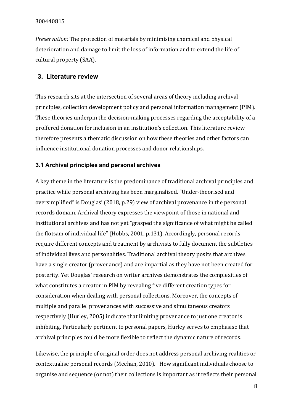*Preservation:* The protection of materials by minimising chemical and physical deterioration and damage to limit the loss of information and to extend the life of cultural property (SAA).

#### <span id="page-7-0"></span>**3. Literature review**

This research sits at the intersection of several areas of theory including archival principles, collection development policy and personal information management (PIM). These theories underpin the decision-making processes regarding the acceptability of a proffered donation for inclusion in an institution's collection. This literature review therefore presents a thematic discussion on how these theories and other factors can influence institutional donation processes and donor relationships.

#### <span id="page-7-1"></span>**3.1 Archival principles and personal archives**

A key theme in the literature is the predominance of traditional archival principles and practice while personal archiving has been marginalised. "Under-theorised and oversimplified" is Douglas' (2018, p.29) view of archival provenance in the personal records domain. Archival theory expresses the viewpoint of those in national and institutional archives and has not yet "grasped the significance of what might be called the flotsam of individual life" (Hobbs, 2001, p.131). Accordingly, personal records require different concepts and treatment by archivists to fully document the subtleties of individual lives and personalities. Traditional archival theory posits that archives have a single creator (provenance) and are impartial as they have not been created for posterity. Yet Douglas' research on writer archives demonstrates the complexities of what constitutes a creator in PIM by revealing five different creation types for consideration when dealing with personal collections. Moreover, the concepts of multiple and parallel provenances with successive and simultaneous creators respectively (Hurley, 2005) indicate that limiting provenance to just one creator is inhibiting. Particularly pertinent to personal papers, Hurley serves to emphasise that archival principles could be more flexible to reflect the dynamic nature of records.

Likewise, the principle of original order does not address personal archiving realities or contextualise personal records (Meehan, 2010). How significant individuals choose to organise and sequence (or not) their collections is important as it reflects their personal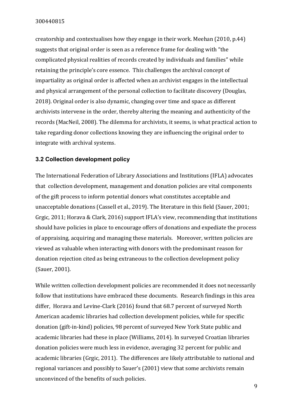creatorship and contextualises how they engage in their work. Meehan (2010, p.44) suggests that original order is seen as a reference frame for dealing with "the complicated physical realities of records created by individuals and families" while retaining the principle's core essence. This challenges the archival concept of impartiality as original order is affected when an archivist engages in the intellectual and physical arrangement of the personal collection to facilitate discovery (Douglas, 2018). Original order is also dynamic, changing over time and space as different archivists intervene in the order, thereby altering the meaning and authenticity of the records (MacNeil, 2008). The dilemma for archivists, it seems, is what practical action to take regarding donor collections knowing they are influencing the original order to integrate with archival systems.

## <span id="page-8-0"></span>**3.2 Collection development policy**

The International Federation of Library Associations and Institutions (IFLA) advocates that collection development, management and donation policies are vital components of the gift process to inform potential donors what constitutes acceptable and unacceptable donations (Cassell et al., 2019). The literature in this field (Sauer, 2001; Grgic, 2011; Horava & Clark, 2016) support IFLA's view, recommending that institutions should have policies in place to encourage offers of donations and expediate the process of appraising, acquiring and managing these materials. Moreover, written policies are viewed as valuable when interacting with donors with the predominant reason for donation rejection cited as being extraneous to the collection development policy (Sauer, 2001).

While written collection development policies are recommended it does not necessarily follow that institutions have embraced these documents. Research findings in this area differ, Horava and Levine-Clark (2016) found that 68.7 percent of surveyed North American academic libraries had collection development policies, while for specific donation (gift-in-kind) policies, 98 percent of surveyed New York State public and academic libraries had these in place (Williams, 2014). In surveyed Croatian libraries donation policies were much less in evidence, averaging 32 percent for public and academic libraries (Grgic, 2011). The differences are likely attributable to national and regional variances and possibly to Sauer's (2001) view that some archivists remain unconvinced of the benefits of such policies.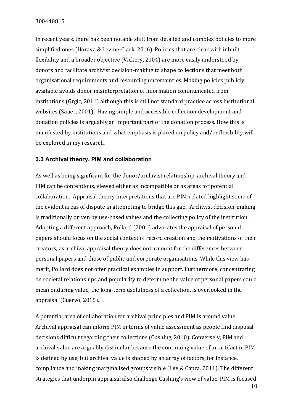In recent years, there has been notable shift from detailed and complex policies to more simplified ones (Horava & Levine-Clark, 2016). Policies that are clear with inbuilt flexibility and a broader objective (Vickery, 2004) are more easily understood by donors and facilitate archivist decision-making to shape collections that meet both organisational requirements and resourcing uncertainties. Making policies publicly available avoids donor misinterpretation of information communicated from institutions (Grgic, 2011) although this is still not standard practice across institutional websites (Sauer, 2001). Having simple and accessible collection development and donation policies is arguably an important part of the donation process. How this is manifested by institutions and what emphasis is placed on policy and/or flexibility will be explored in my research.

## <span id="page-9-0"></span>**3.3 Archival theory, PIM and collaboration**

As well as being significant for the donor/archivist relationship, archival theory and PIM can be contentious, viewed either as incompatible or as areas for potential collaboration. Appraisal theory interpretations that are PIM-related highlight some of the evident areas of dispute in attempting to bridge this gap. Archivist decision-making is traditionally driven by use-based values and the collecting policy of the institution. Adopting a different approach, Pollard (2001) advocates the appraisal of personal papers should focus on the social context of record creation and the motivations of their creators, as archival appraisal theory does not account for the differences between personal papers and those of public and corporate organisations. While this view has merit, Pollard does not offer practical examples in support. Furthermore, concentrating on societal relationships and popularity to determine the value of personal papers could mean enduring value, the long-term usefulness of a collection, is overlooked in the appraisal (Cuervo, 2015).

A potential area of collaboration for archival principles and PIM is around value. Archival appraisal can inform PIM in terms of value assessment as people find disposal decisions difficult regarding their collections (Cushing, 2010). Conversely, PIM and archival value are arguably dissimilar because the continuing value of an artifact in PIM is defined by use, but archival value is shaped by an array of factors, for instance, compliance and making marginalised groups visible (Lee & Capra, 2011). The different strategies that underpin appraisal also challenge Cushing's view of value. PIM is focused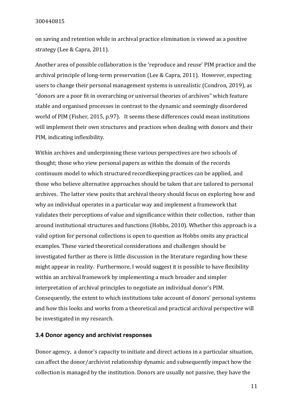on saving and retention while in archival practice elimination is viewed as a positive strategy (Lee & Capra, 2011).

Another area of possible collaboration is the 'reproduce and reuse' PIM practice and the archival principle of long-term preservation (Lee & Capra, 2011). However, expecting users to change their personal management systems is unrealistic (Condron, 2019), as "donors are a poor fit in overarching or universal theories of archives" which feature stable and organised processes in contrast to the dynamic and seemingly disordered world of PIM (Fisher, 2015, p.97). It seems these differences could mean institutions will implement their own structures and practices when dealing with donors and their PIM, indicating inflexibility.

Within archives and underpinning these various perspectives are two schools of thought; those who view personal papers as within the domain of the records continuum model to which structured recordkeeping practices can be applied, and those who believe alternative approaches should be taken that are tailored to personal archives. The latter view posits that archival theory should focus on exploring how and why an individual operates in a particular way and implement a framework that validates their perceptions of value and significance within their collection, rather than around institutional structures and functions (Hobbs, 2010). Whether this approach is a valid option for personal collections is open to question as Hobbs omits any practical examples. These varied theoretical considerations and challenges should be investigated further as there is little discussion in the literature regarding how these might appear in reality. Furthermore, I would suggest it is possible to have flexibility within an archival framework by implementing a much broader and simpler interpretation of archival principles to negotiate an individual donor's PIM. Consequently, the extent to which institutions take account of donors' personal systems and how this looks and works from a theoretical and practical archival perspective will be investigated in my research.

#### <span id="page-10-0"></span>**3.4 Donor agency and archivist responses**

Donor agency, a donor's capacity to initiate and direct actions in a particular situation, can affect the donor/archivist relationship dynamic and subsequently impact how the collection is managed by the institution. Donors are usually not passive, they have the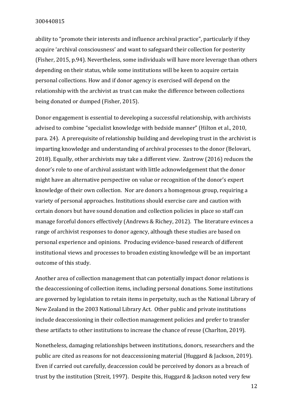ability to "promote their interests and influence archival practice", particularly if they acquire 'archival consciousness' and want to safeguard their collection for posterity (Fisher, 2015, p.94). Nevertheless, some individuals will have more leverage than others depending on their status, while some institutions will be keen to acquire certain personal collections. How and if donor agency is exercised will depend on the relationship with the archivist as trust can make the difference between collections being donated or dumped (Fisher, 2015).

Donor engagement is essential to developing a successful relationship, with archivists advised to combine "specialist knowledge with bedside manner" (Hilton et al., 2010, para. 24). A prerequisite of relationship building and developing trust in the archivist is imparting knowledge and understanding of archival processes to the donor (Belovari, 2018). Equally, other archivists may take a different view. Zastrow (2016) reduces the donor's role to one of archival assistant with little acknowledgement that the donor might have an alternative perspective on value or recognition of the donor's expert knowledge of their own collection. Nor are donors a homogenous group, requiring a variety of personal approaches. Institutions should exercise care and caution with certain donors but have sound donation and collection policies in place so staff can manage forceful donors effectively (Andrews & Richey, 2012). The literature evinces a range of archivist responses to donor agency, although these studies are based on personal experience and opinions. Producing evidence-based research of different institutional views and processes to broaden existing knowledge will be an important outcome of this study.

Another area of collection management that can potentially impact donor relations is the deaccessioning of collection items, including personal donations. Some institutions are governed by legislation to retain items in perpetuity, such as the National Library of New Zealand in the 2003 National Library Act. Other public and private institutions include deaccessioning in their collection management policies and prefer to transfer these artifacts to other institutions to increase the chance of reuse (Charlton, 2019).

Nonetheless, damaging relationships between institutions, donors, researchers and the public are cited as reasons for not deaccessioning material (Huggard & Jackson, 2019). Even if carried out carefully, deaccession could be perceived by donors as a breach of trust by the institution (Streit, 1997). Despite this, Huggard & Jackson noted very few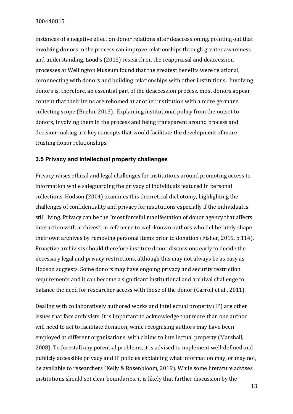instances of a negative effect on donor relations after deaccessioning, pointing out that involving donors in the process can improve relationships through greater awareness and understanding. Loud's (2013) research on the reappraisal and deaccession processes at Wellington Museum found that the greatest benefits were relational, reconnecting with donors and building relationships with other institutions. Involving donors is, therefore, an essential part of the deaccession process, most donors appear content that their items are rehomed at another institution with a more germane collecting scope (Buehn, 2013). Explaining institutional policy from the outset to donors, involving them in the process and being transparent around process and decision-making are key concepts that would facilitate the development of more trusting donor relationships.

#### <span id="page-12-0"></span>**3.5 Privacy and intellectual property challenges**

Privacy raises ethical and legal challenges for institutions around promoting access to information while safeguarding the privacy of individuals featured in personal collections. Hodson (2004) examines this theoretical dichotomy, highlighting the challenges of confidentiality and privacy for institutions especially if the individual is still living. Privacy can be the "most forceful manifestation of donor agency that affects interaction with archives", in reference to well-known authors who deliberately shape their own archives by removing personal items prior to donation (Fisher, 2015, p.114). Proactive archivists should therefore institute donor discussions early to decide the necessary legal and privacy restrictions, although this may not always be as easy as Hodson suggests. Some donors may have ongoing privacy and security restriction requirements and it can become a significant institutional and archival challenge to balance the need for researcher access with those of the donor (Carroll et al., 2011).

Dealing with collaboratively authored works and intellectual property (IP) are other issues that face archivists. It is important to acknowledge that more than one author will need to act to facilitate donation, while recognising authors may have been employed at different organisations, with claims to intellectual property (Marshall, 2008). To forestall any potential problems, it is advised to implement well-defined and publicly accessible privacy and IP policies explaining what information may, or may not, be available to researchers (Kelly & Rosenbloom, 2019). While some literature advises institutions should set clear boundaries, it is likely that further discussion by the

13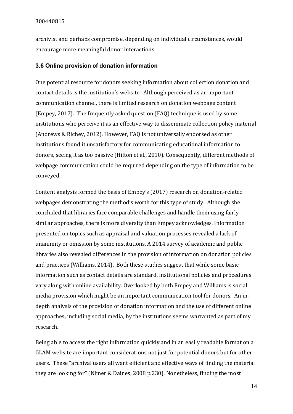archivist and perhaps compromise, depending on individual circumstances, would encourage more meaningful donor interactions.

#### <span id="page-13-0"></span>**3.6 Online provision of donation information**

One potential resource for donors seeking information about collection donation and contact details is the institution's website. Although perceived as an important communication channel, there is limited research on donation webpage content (Empey, 2017). The frequently asked question (FAQ) technique is used by some institutions who perceive it as an effective way to disseminate collection policy material (Andrews & Richey, 2012). However, FAQ is not universally endorsed as other institutions found it unsatisfactory for communicating educational information to donors, seeing it as too passive (Hilton et al., 2010). Consequently, different methods of webpage communication could be required depending on the type of information to be conveyed.

Content analysis formed the basis of Empey's (2017) research on donation-related webpages demonstrating the method's worth for this type of study. Although she concluded that libraries face comparable challenges and handle them using fairly similar approaches, there is more diversity than Empey acknowledges. Information presented on topics such as appraisal and valuation processes revealed a lack of unanimity or omission by some institutions. A 2014 survey of academic and public libraries also revealed differences in the provision of information on donation policies and practices (Williams, 2014). Both these studies suggest that while some basic information such as contact details are standard, institutional policies and procedures vary along with online availability. Overlooked by both Empey and Williams is social media provision which might be an important communication tool for donors. An indepth analysis of the provision of donation information and the use of different online approaches, including social media, by the institutions seems warranted as part of my research.

Being able to access the right information quickly and in an easily readable format on a GLAM website are important considerations not just for potential donors but for other users. These "archival users all want efficient and effective ways of finding the material they are looking for" (Nimer & Daines, 2008 p.230). Nonetheless, finding the most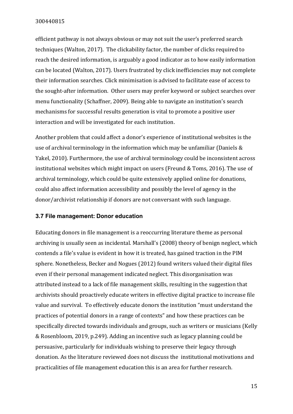efficient pathway is not always obvious or may not suit the user's preferred search techniques (Walton, 2017). The clickability factor, the number of clicks required to reach the desired information, is arguably a good indicator as to how easily information can be located (Walton, 2017). Users frustrated by click inefficiencies may not complete their information searches. Click minimisation is advised to facilitate ease of access to the sought-after information. Other users may prefer keyword or subject searches over menu functionality (Schaffner, 2009). Being able to navigate an institution's search mechanisms for successful results generation is vital to promote a positive user interaction and will be investigated for each institution.

Another problem that could affect a donor's experience of institutional websites is the use of archival terminology in the information which may be unfamiliar (Daniels & Yakel, 2010). Furthermore, the use of archival terminology could be inconsistent across institutional websites which might impact on users (Freund & Toms, 2016). The use of archival terminology, which could be quite extensively applied online for donations, could also affect information accessibility and possibly the level of agency in the donor/archivist relationship if donors are not conversant with such language.

#### <span id="page-14-0"></span>**3.7 File management: Donor education**

Educating donors in file management is a reoccurring literature theme as personal archiving is usually seen as incidental. Marshall's (2008) theory of benign neglect, which contends a file's value is evident in how it is treated, has gained traction in the PIM sphere. Nonetheless, Becker and Nogues (2012) found writers valued their digital files even if their personal management indicated neglect. This disorganisation was attributed instead to a lack of file management skills, resulting in the suggestion that archivists should proactively educate writers in effective digital practice to increase file value and survival. To effectively educate donors the institution "must understand the practices of potential donors in a range of contexts" and how these practices can be specifically directed towards individuals and groups, such as writers or musicians (Kelly & Rosenbloom, 2019, p.249). Adding an incentive such as legacy planning could be persuasive, particularly for individuals wishing to preserve their legacy through donation. As the literature reviewed does not discuss the institutional motivations and practicalities of file management education this is an area for further research.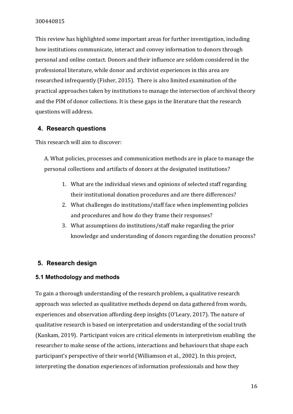This review has highlighted some important areas for further investigation, including how institutions communicate, interact and convey information to donors through personal and online contact. Donors and their influence are seldom considered in the professional literature, while donor and archivist experiences in this area are researched infrequently (Fisher, 2015). There is also limited examination of the practical approaches taken by institutions to manage the intersection of archival theory and the PIM of donor collections. It is these gaps in the literature that the research questions will address.

## <span id="page-15-0"></span>**4. Research questions**

This research will aim to discover:

A. What policies, processes and communication methods are in place to manage the personal collections and artifacts of donors at the designated institutions?

- 1. What are the individual views and opinions of selected staff regarding their institutional donation procedures and are there differences?
- 2. What challenges do institutions/staff face when implementing policies and procedures and how do they frame their responses?
- 3. What assumptions do institutions/staff make regarding the prior knowledge and understanding of donors regarding the donation process?

## <span id="page-15-1"></span>**5. Research design**

## <span id="page-15-2"></span>**5.1 Methodology and methods**

To gain a thorough understanding of the research problem, a qualitative research approach was selected as qualitative methods depend on data gathered from words, experiences and observation affording deep insights (O'Leary, 2017). The nature of qualitative research is based on interpretation and understanding of the social truth (Kankam, 2019). Participant voices are critical elements in interpretivism enabling the researcher to make sense of the actions, interactions and behaviours that shape each participant's perspective of their world (Williamson et al., 2002). In this project, interpreting the donation experiences of information professionals and how they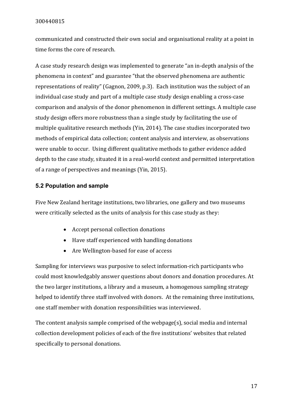communicated and constructed their own social and organisational reality at a point in time forms the core of research.

A case study research design was implemented to generate "an in-depth analysis of the phenomena in context" and guarantee "that the observed phenomena are authentic representations of reality" (Gagnon, 2009, p.3). Each institution was the subject of an individual case study and part of a multiple case study design enabling a cross-case comparison and analysis of the donor phenomenon in different settings. A multiple case study design offers more robustness than a single study by facilitating the use of multiple qualitative research methods (Yin, 2014). The case studies incorporated two methods of empirical data collection; content analysis and interview, as observations were unable to occur. Using different qualitative methods to gather evidence added depth to the case study, situated it in a real-world context and permitted interpretation of a range of perspectives and meanings (Yin, 2015).

## <span id="page-16-0"></span>**5.2 Population and sample**

Five New Zealand heritage institutions, two libraries, one gallery and two museums were critically selected as the units of analysis for this case study as they:

- Accept personal collection donations
- Have staff experienced with handling donations
- Are Wellington-based for ease of access

Sampling for interviews was purposive to select information-rich participants who could most knowledgably answer questions about donors and donation procedures. At the two larger institutions, a library and a museum, a homogenous sampling strategy helped to identify three staff involved with donors. At the remaining three institutions, one staff member with donation responsibilities was interviewed.

The content analysis sample comprised of the webpage(s), social media and internal collection development policies of each of the five institutions' websites that related specifically to personal donations.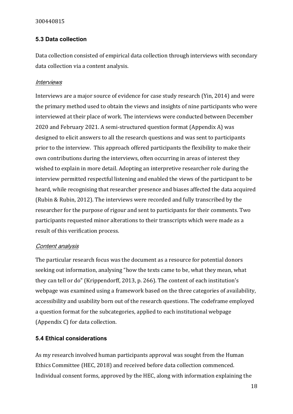## <span id="page-17-0"></span>**5.3 Data collection**

Data collection consisted of empirical data collection through interviews with secondary data collection via a content analysis.

## <span id="page-17-1"></span>Interviews

Interviews are a major source of evidence for case study research (Yin, 2014) and were the primary method used to obtain the views and insights of nine participants who were interviewed at their place of work. The interviews were conducted between December 2020 and February 2021. A semi-structured question format (Appendix A) was designed to elicit answers to all the research questions and was sent to participants prior to the interview. This approach offered participants the flexibility to make their own contributions during the interviews, often occurring in areas of interest they wished to explain in more detail. Adopting an interpretive researcher role during the interview permitted respectful listening and enabled the views of the participant to be heard, while recognising that researcher presence and biases affected the data acquired (Rubin & Rubin, 2012). The interviews were recorded and fully transcribed by the researcher for the purpose of rigour and sent to participants for their comments. Two participants requested minor alterations to their transcripts which were made as a result of this verification process.

## <span id="page-17-2"></span>Content analysis

The particular research focus was the document as a resource for potential donors seeking out information, analysing "how the texts came to be, what they mean, what they can tell or do" (Krippendorff, 2013, p. 266). The content of each institution's webpage was examined using a framework based on the three categories of availability, accessibility and usability born out of the research questions. The codeframe employed a question format for the subcategories, applied to each institutional webpage (Appendix C) for data collection.

## <span id="page-17-3"></span>**5.4 Ethical considerations**

As my research involved human participants approval was sought from the Human Ethics Committee (HEC, 2018) and received before data collection commenced. Individual consent forms, approved by the HEC, along with information explaining the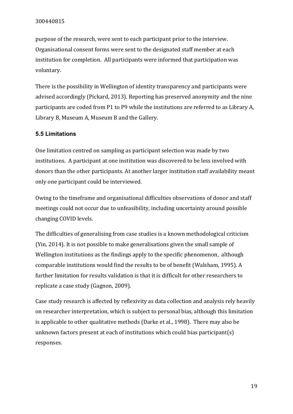purpose of the research, were sent to each participant prior to the interview. Organisational consent forms were sent to the designated staff member at each institution for completion. All participants were informed that participation was voluntary.

There is the possibility in Wellington of identity transparency and participants were advised accordingly (Pickard, 2013). Reporting has preserved anonymity and the nine participants are coded from P1 to P9 while the institutions are referred to as Library A, Library B, Museum A, Museum B and the Gallery.

## <span id="page-18-0"></span>**5.5 Limitations**

One limitation centred on sampling as participant selection was made by two institutions. A participant at one institution was discovered to be less involved with donors than the other participants. At another larger institution staff availability meant only one participant could be interviewed.

Owing to the timeframe and organisational difficulties observations of donor and staff meetings could not occur due to unfeasibility, including uncertainty around possible changing COVID levels.

The difficulties of generalising from case studies is a known methodological criticism (Yin, 2014). It is not possible to make generalisations given the small sample of Wellington institutions as the findings apply to the specific phenomenon, although comparable institutions would find the results to be of benefit (Walsham, 1995). A further limitation for results validation is that it is difficult for other researchers to replicate a case study (Gagnon, 2009).

Case study research is affected by reflexivity as data collection and analysis rely heavily on researcher interpretation, which is subject to personal bias, although this limitation is applicable to other qualitative methods (Darke et al., 1998). There may also be unknown factors present at each of institutions which could bias participant(s) responses.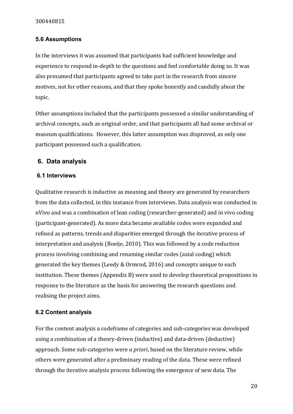## <span id="page-19-0"></span>**5.6 Assumptions**

In the interviews it was assumed that participants had sufficient knowledge and experience to respond in-depth to the questions and feel comfortable doing so. It was also presumed that participants agreed to take part in the research from sincere motives, not for other reasons, and that they spoke honestly and candidly about the topic.

Other assumptions included that the participants possessed a similar understanding of archival concepts, such as original order, and that participants all had some archival or museum qualifications. However, this latter assumption was disproved, as only one participant possessed such a qualification.

## <span id="page-19-1"></span>**6. Data analysis**

## <span id="page-19-2"></span>**6.1 Interviews**

Qualitative research is inductive as meaning and theory are generated by researchers from the data collected, in this instance from interviews. Data analysis was conducted in nVivo and was a combination of lean coding (researcher-generated) and in vivo coding (participant-generated). As more data became available codes were expanded and refined as patterns, trends and disparities emerged through the iterative process of interpretation and analysis (Boeije, 2010). This was followed by a code reduction process involving combining and renaming similar codes (axial coding) which generated the key themes (Leedy & Ormrod, 2016) and concepts unique to each institution. These themes (Appendix B) were used to develop theoretical propositions in response to the literature as the basis for answering the research questions and realising the project aims.

## <span id="page-19-3"></span>**6.2 Content analysis**

For the content analysis a codeframe of categories and sub-categories was developed using a combination of a theory-driven (inductive) and data-driven (deductive) approach. Some sub-categories were *a priori*, based on the literature review, while others were generated after a preliminary reading of the data. These were refined through the iterative analysis process following the emergence of new data. The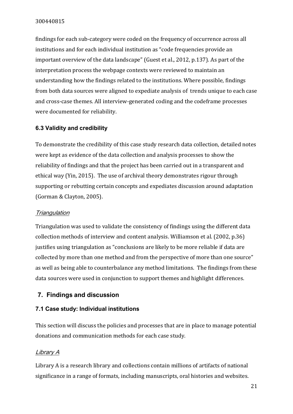findings for each sub-category were coded on the frequency of occurrence across all institutions and for each individual institution as "code frequencies provide an important overview of the data landscape" (Guest et al., 2012, p.137). As part of the interpretation process the webpage contexts were reviewed to maintain an understanding how the findings related to the institutions. Where possible, findings from both data sources were aligned to expediate analysis of trends unique to each case and cross-case themes. All interview-generated coding and the codeframe processes were documented for reliability.

## <span id="page-20-0"></span>**6.3 Validity and credibility**

To demonstrate the credibility of this case study research data collection, detailed notes were kept as evidence of the data collection and analysis processes to show the reliability of findings and that the project has been carried out in a transparent and ethical way (Yin, 2015). The use of archival theory demonstrates rigour through supporting or rebutting certain concepts and expediates discussion around adaptation (Gorman & Clayton, 2005).

## <span id="page-20-1"></span>**Triangulation**

Triangulation was used to validate the consistency of findings using the different data collection methods of interview and content analysis. Williamson et al. (2002, p.36) justifies using triangulation as "conclusions are likely to be more reliable if data are collected by more than one method and from the perspective of more than one source" as well as being able to counterbalance any method limitations. The findings from these data sources were used in conjunction to support themes and highlight differences.

## <span id="page-20-2"></span>**7. Findings and discussion**

## <span id="page-20-3"></span>**7.1 Case study: Individual institutions**

This section will discuss the policies and processes that are in place to manage potential donations and communication methods for each case study.

## <span id="page-20-4"></span>Library A

Library A is a research library and collections contain millions of artifacts of national significance in a range of formats, including manuscripts, oral histories and websites.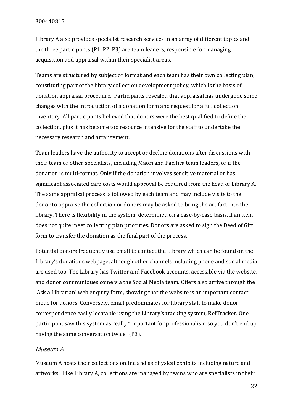Library A also provides specialist research services in an array of different topics and the three participants (P1, P2, P3) are team leaders, responsible for managing acquisition and appraisal within their specialist areas.

Teams are structured by subject or format and each team has their own collecting plan, constituting part of the library collection development policy, which is the basis of donation appraisal procedure. Participants revealed that appraisal has undergone some changes with the introduction of a donation form and request for a full collection inventory. All participants believed that donors were the best qualified to define their collection, plus it has become too resource intensive for the staff to undertake the necessary research and arrangement.

Team leaders have the authority to accept or decline donations after discussions with their team or other specialists, including Māori and Pacifica team leaders, or if the donation is multi-format. Only if the donation involves sensitive material or has significant associated care costs would approval be required from the head of Library A. The same appraisal process is followed by each team and may include visits to the donor to appraise the collection or donors may be asked to bring the artifact into the library. There is flexibility in the system, determined on a case-by-case basis, if an item does not quite meet collecting plan priorities. Donors are asked to sign the Deed of Gift form to transfer the donation as the final part of the process.

Potential donors frequently use email to contact the Library which can be found on the Library's donations webpage, although other channels including phone and social media are used too. The Library has Twitter and Facebook accounts, accessible via the website, and donor communiques come via the Social Media team. Offers also arrive through the 'Ask a Librarian' web enquiry form, showing that the website is an important contact mode for donors. Conversely, email predominates for library staff to make donor correspondence easily locatable using the Library's tracking system, RefTracker. One participant saw this system as really "important for professionalism so you don't end up having the same conversation twice" (P3).

## <span id="page-21-0"></span>Museum A

Museum A hosts their collections online and as physical exhibits including nature and artworks. Like Library A, collections are managed by teams who are specialists in their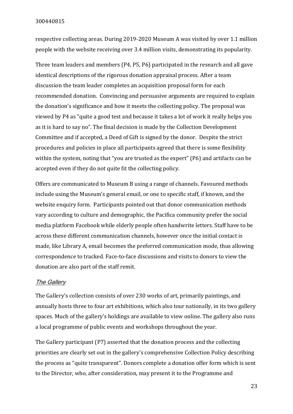respective collecting areas. During 2019-2020 Museum A was visited by over 1.1 million people with the website receiving over 3.4 million visits, demonstrating its popularity.

Three team leaders and members (P4, P5, P6) participated in the research and all gave identical descriptions of the rigorous donation appraisal process. After a team discussion the team leader completes an acquisition proposal form for each recommended donation. Convincing and persuasive arguments are required to explain the donation's significance and how it meets the collecting policy. The proposal was viewed by P4 as "quite a good test and because it takes a lot of work it really helps you as it is hard to say no". The final decision is made by the Collection Development Committee and if accepted, a Deed of Gift is signed by the donor. Despite the strict procedures and policies in place all participants agreed that there is some flexibility within the system, noting that "you are trusted as the expert" (P6) and artifacts can be accepted even if they do not quite fit the collecting policy.

Offers are communicated to Museum B using a range of channels. Favoured methods include using the Museum's general email, or one to specific staff, if known, and the website enquiry form. Participants pointed out that donor communication methods vary according to culture and demographic, the Pacifica community prefer the social media platform Facebook while elderly people often handwrite letters. Staff have to be across these different communication channels, however once the initial contact is made, like Library A, email becomes the preferred communication mode, thus allowing correspondence to tracked. Face-to-face discussions and visits to donors to view the donation are also part of the staff remit.

#### <span id="page-22-0"></span>The Gallery

The Gallery's collection consists of over 230 works of art, primarily paintings, and annually hosts three to four art exhibitions, which also tour nationally, in its two gallery spaces. Much of the gallery's holdings are available to view online. The gallery also runs a local programme of public events and workshops throughout the year.

The Gallery participant (P7) asserted that the donation process and the collecting priorities are clearly set out in the gallery's comprehensive Collection Policy describing the process as "quite transparent". Donors complete a donation offer form which is sent to the Director, who, after consideration, may present it to the Programme and

23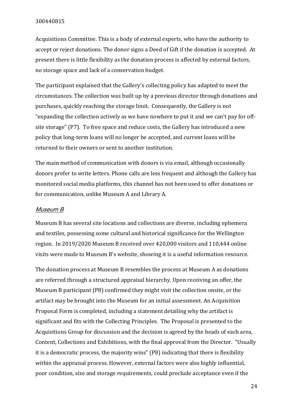Acquisitions Committee. This is a body of external experts, who have the authority to accept or reject donations. The donor signs a Deed of Gift if the donation is accepted. At present there is little flexibility as the donation process is affected by external factors, no storage space and lack of a conservation budget.

The participant explained that the Gallery's collecting policy has adapted to meet the circumstances. The collection was built up by a previous director through donations and purchases, quickly reaching the storage limit. Consequently, the Gallery is not "expanding the collection actively as we have nowhere to put it and we can't pay for offsite storage" (P7). To free space and reduce costs, the Gallery has introduced a new policy that long-term loans will no longer be accepted, and current loans will be returned to their owners or sent to another institution.

The main method of communication with donors is via email, although occasionally donors prefer to write letters. Phone calls are less frequent and although the Gallery has monitored social media platforms, this channel has not been used to offer donations or for communication, unlike Museum A and Library A.

#### <span id="page-23-0"></span>Museum B

Museum B has several site locations and collections are diverse, including ephemera and textiles, possessing some cultural and historical significance for the Wellington region. In 2019/2020 Museum B received over 420,000 visitors and 110,444 online visits were made to Museum B's website, showing it is a useful information resource.

The donation process at Museum B resembles the process at Museum A as donations are referred through a structured appraisal hierarchy. Upon receiving an offer, the Museum B participant (P8) confirmed they might visit the collection onsite, or the artifact may be brought into the Museum for an initial assessment. An Acquisition Proposal Form is completed, including a statement detailing why the artifact is significant and fits with the Collecting Principles. The Proposal is presented to the Acquisitions Group for discussion and the decision is agreed by the heads of each area, Content, Collections and Exhibitions, with the final approval from the Director. "Usually it is a democratic process, the majority wins" (P8) indicating that there is flexibility within the appraisal process. However, external factors were also highly influential, poor condition, size and storage requirements, could preclude acceptance even if the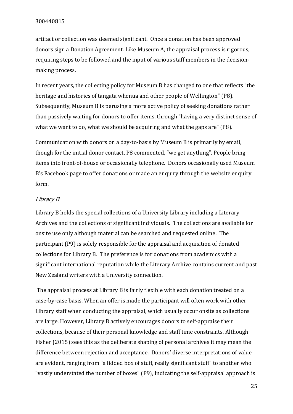artifact or collection was deemed significant. Once a donation has been approved donors sign a Donation Agreement. Like Museum A, the appraisal process is rigorous, requiring steps to be followed and the input of various staff members in the decisionmaking process.

In recent years, the collecting policy for Museum B has changed to one that reflects "the heritage and histories of tangata whenua and other people of Wellington" (P8). Subsequently, Museum B is perusing a more active policy of seeking donations rather than passively waiting for donors to offer items, through "having a very distinct sense of what we want to do, what we should be acquiring and what the gaps are" (P8).

Communication with donors on a day-to-basis by Museum B is primarily by email, though for the initial donor contact, P8 commented, "we get anything". People bring items into front-of-house or occasionally telephone. Donors occasionally used Museum B's Facebook page to offer donations or made an enquiry through the website enquiry form.

#### <span id="page-24-0"></span>Library B

Library B holds the special collections of a University Library including a Literary Archives and the collections of significant individuals. The collections are available for onsite use only although material can be searched and requested online. The participant (P9) is solely responsible for the appraisal and acquisition of donated collections for Library B. The preference is for donations from academics with a significant international reputation while the Literary Archive contains current and past New Zealand writers with a University connection.

The appraisal process at Library B is fairly flexible with each donation treated on a case-by-case basis. When an offer is made the participant will often work with other Library staff when conducting the appraisal, which usually occur onsite as collections are large. However, Library B actively encourages donors to self-appraise their collections, because of their personal knowledge and staff time constraints. Although Fisher (2015) sees this as the deliberate shaping of personal archives it may mean the difference between rejection and acceptance. Donors' diverse interpretations of value are evident, ranging from "a lidded box of stuff, really significant stuff" to another who "vastly understated the number of boxes" (P9), indicating the self-appraisal approach is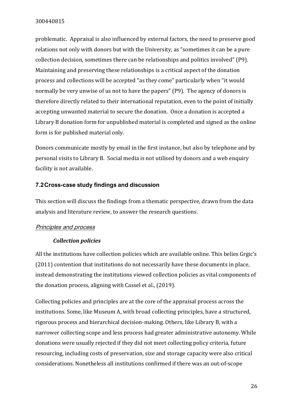problematic. Appraisal is also influenced by external factors, the need to preserve good relations not only with donors but with the University, as "sometimes it can be a pure collection decision, sometimes there can be relationships and politics involved" (P9). Maintaining and preserving these relationships is a critical aspect of the donation process and collections will be accepted "as they come" particularly when "it would normally be very unwise of us not to have the papers" (P9). The agency of donors is therefore directly related to their international reputation, even to the point of initially accepting unwanted material to secure the donation. Once a donation is accepted a Library B donation form for unpublished material is completed and signed as the online form is for published material only.

Donors communicate mostly by email in the first instance, but also by telephone and by personal visits to Library B. Social media is not utilised by donors and a web enquiry facility is not available.

## <span id="page-25-0"></span>**7.2Cross-case study findings and discussion**

This section will discuss the findings from a thematic perspective, drawn from the data analysis and literature review, to answer the research questions.

#### <span id="page-25-1"></span>Principles and process

#### *Collection policies*

All the institutions have collection policies which are available online. This belies Grgic's (2011) contention that institutions do not necessarily have these documents in place, instead demonstrating the institutions viewed collection policies as vital components of the donation process, aligning with Cassel et al., (2019).

Collecting policies and principles are at the core of the appraisal process across the institutions. Some, like Museum A, with broad collecting principles, have a structured, rigorous process and hierarchical decision-making. Others, like Library B, with a narrower collecting scope and less process had greater administrative autonomy. While donations were usually rejected if they did not meet collecting policy criteria, future resourcing, including costs of preservation, size and storage capacity were also critical considerations. Nonetheless all institutions confirmed if there was an out-of-scope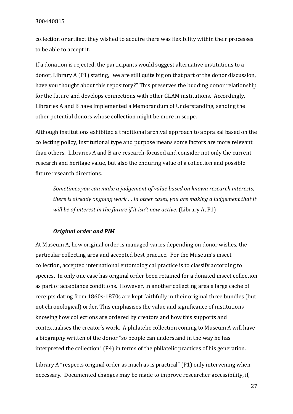collection or artifact they wished to acquire there was flexibility within their processes to be able to accept it.

If a donation is rejected, the participants would suggest alternative institutions to a donor, Library A (P1) stating, "we are still quite big on that part of the donor discussion, have you thought about this repository?" This preserves the budding donor relationship for the future and develops connections with other GLAM institutions. Accordingly, Libraries A and B have implemented a Memorandum of Understanding, sending the other potential donors whose collection might be more in scope.

Although institutions exhibited a traditional archival approach to appraisal based on the collecting policy, institutional type and purpose means some factors are more relevant than others. Libraries A and B are research-focused and consider not only the current research and heritage value, but also the enduring value of a collection and possible future research directions.

*Sometimes you can make a judgement of value based on known research interests, there is already ongoing work … In other cases, you are making a judgement that it will be of interest in the future if it isn't now active.* (Library A, P1)

#### *Original order and PIM*

At Museum A, how original order is managed varies depending on donor wishes, the particular collecting area and accepted best practice. For the Museum's insect collection, accepted international entomological practice is to classify according to species. In only one case has original order been retained for a donated insect collection as part of acceptance conditions. However, in another collecting area a large cache of receipts dating from 1860s-1870s are kept faithfully in their original three bundles (but not chronological) order. This emphasises the value and significance of institutions knowing how collections are ordered by creators and how this supports and contextualises the creator's work. A philatelic collection coming to Museum A will have a biography written of the donor "so people can understand in the way he has interpreted the collection" (P4) in terms of the philatelic practices of his generation.

Library A "respects original order as much as is practical" (P1) only intervening when necessary. Documented changes may be made to improve researcher accessibility, if,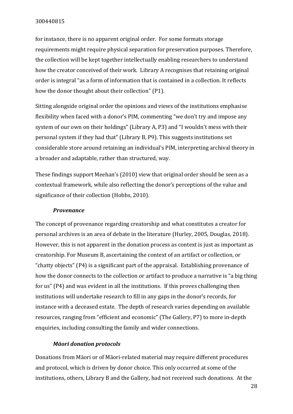for instance, there is no apparent original order. For some formats storage requirements might require physical separation for preservation purposes. Therefore, the collection will be kept together intellectually enabling researchers to understand how the creator conceived of their work. Library A recognises that retaining original order is integral "as a form of information that is contained in a collection. It reflects how the donor thought about their collection" (P1).

Sitting alongside original order the opinions and views of the institutions emphasise flexibility when faced with a donor's PIM, commenting "we don't try and impose any system of our own on their holdings" (Library A, P3) and "I wouldn't mess with their personal system if they had that" (Library B, P9). This suggests institutions set considerable store around retaining an individual's PIM, interpreting archival theory in a broader and adaptable, rather than structured, way.

These findings support Meehan's (2010) view that original order should be seen as a contextual framework, while also reflecting the donor's perceptions of the value and significance of their collection (Hobbs, 2010).

#### *Provenance*

The concept of provenance regarding creatorship and what constitutes a creator for personal archives is an area of debate in the literature (Hurley, 2005, Douglas, 2018). However, this is not apparent in the donation process as context is just as important as creatorship. For Museum B, ascertaining the context of an artifact or collection, or "chatty objects" (P4) is a significant part of the appraisal. Establishing provenance of how the donor connects to the collection or artifact to produce a narrative is "a big thing for us" (P4) and was evident in all the institutions. If this proves challenging then institutions will undertake research to fill in any gaps in the donor's records, for instance with a deceased estate. The depth of research varies depending on available resources, ranging from "efficient and economic" (The Gallery, P7) to more in-depth enquiries, including consulting the family and wider connections.

#### *Māori donation protocols*

Donations from Māori or of Māori-related material may require different procedures and protocol, which is driven by donor choice. This only occurred at some of the institutions, others, Library B and the Gallery, had not received such donations. At the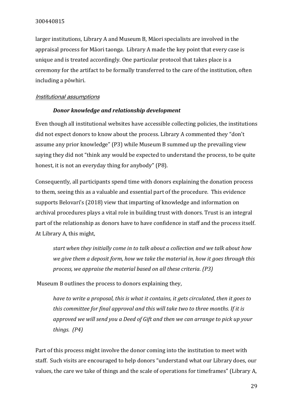larger institutions, Library A and Museum B, Māori specialists are involved in the appraisal process for Māori taonga. Library A made the key point that every case is unique and is treated accordingly. One particular protocol that takes place is a ceremony for the artifact to be formally transferred to the care of the institution, often including a pōwhiri.

#### <span id="page-28-0"></span>Institutional assumptions

#### *Donor knowledge and relationship development*

Even though all institutional websites have accessible collecting policies, the institutions did not expect donors to know about the process. Library A commented they "don't assume any prior knowledge" (P3) while Museum B summed up the prevailing view saying they did not "think any would be expected to understand the process, to be quite honest, it is not an everyday thing for anybody" (P8).

Consequently, all participants spend time with donors explaining the donation process to them, seeing this as a valuable and essential part of the procedure. This evidence supports Belovari's (2018) view that imparting of knowledge and information on archival procedures plays a vital role in building trust with donors. Trust is an integral part of the relationship as donors have to have confidence in staff and the process itself. At Library A, this might,

*start when they initially come in to talk about a collection and we talk about how we give them a deposit form, how we take the material in, how it goes through this process, we appraise the material based on all these criteria. (P3)* 

Museum B outlines the process to donors explaining they,

*have to write a proposal, this is what it contains, it gets circulated, then it goes to this committee for final approval and this will take two to three months. If it is approved we will send you a Deed of Gift and then we can arrange to pick up your things. (P4)*

Part of this process might involve the donor coming into the institution to meet with staff. Such visits are encouraged to help donors "understand what our Library does, our values, the care we take of things and the scale of operations for timeframes" (Library A,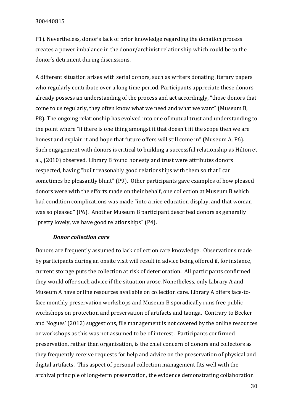P1). Nevertheless, donor's lack of prior knowledge regarding the donation process creates a power imbalance in the donor/archivist relationship which could be to the donor's detriment during discussions.

A different situation arises with serial donors, such as writers donating literary papers who regularly contribute over a long time period. Participants appreciate these donors already possess an understanding of the process and act accordingly, "those donors that come to us regularly, they often know what we need and what we want" (Museum B, P8). The ongoing relationship has evolved into one of mutual trust and understanding to the point where "if there is one thing amongst it that doesn't fit the scope then we are honest and explain it and hope that future offers will still come in" (Museum A, P6). Such engagement with donors is critical to building a successful relationship as Hilton et al., (2010) observed. Library B found honesty and trust were attributes donors respected, having "built reasonably good relationships with them so that I can sometimes be pleasantly blunt" (P9). Other participants gave examples of how pleased donors were with the efforts made on their behalf, one collection at Museum B which had condition complications was made "into a nice education display, and that woman was so pleased" (P6). Another Museum B participant described donors as generally "pretty lovely, we have good relationships" (P4).

#### *Donor collection care*

Donors are frequently assumed to lack collection care knowledge. Observations made by participants during an onsite visit will result in advice being offered if, for instance, current storage puts the collection at risk of deterioration. All participants confirmed they would offer such advice if the situation arose. Nonetheless, only Library A and Museum A have online resources available on collection care. Library A offers face-toface monthly preservation workshops and Museum B sporadically runs free public workshops on protection and preservation of artifacts and taonga. Contrary to Becker and Nogues' (2012) suggestions, file management is not covered by the online resources or workshops as this was not assumed to be of interest. Participants confirmed preservation, rather than organisation, is the chief concern of donors and collectors as they frequently receive requests for help and advice on the preservation of physical and digital artifacts. This aspect of personal collection management fits well with the archival principle of long-term preservation, the evidence demonstrating collaboration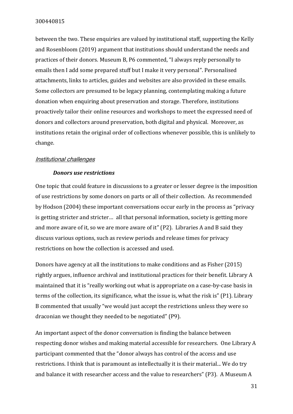between the two. These enquiries are valued by institutional staff, supporting the Kelly and Rosenbloom (2019) argument that institutions should understand the needs and practices of their donors. Museum B, P6 commented, "I always reply personally to emails then I add some prepared stuff but I make it very personal". Personalised attachments, links to articles, guides and websites are also provided in these emails. Some collectors are presumed to be legacy planning, contemplating making a future donation when enquiring about preservation and storage. Therefore, institutions proactively tailor their online resources and workshops to meet the expressed need of donors and collectors around preservation, both digital and physical. Moreover, as institutions retain the original order of collections whenever possible, this is unlikely to change.

#### <span id="page-30-0"></span>Institutional challenges

#### *Donors use restrictions*

One topic that could feature in discussions to a greater or lesser degree is the imposition of use restrictions by some donors on parts or all of their collection. As recommended by Hodson (2004) these important conversations occur early in the process as "privacy is getting stricter and stricter… all that personal information, society is getting more and more aware of it, so we are more aware of it" (P2). Libraries A and B said they discuss various options, such as review periods and release times for privacy restrictions on how the collection is accessed and used.

Donors have agency at all the institutions to make conditions and as Fisher (2015) rightly argues, influence archival and institutional practices for their benefit. Library A maintained that it is "really working out what is appropriate on a case-by-case basis in terms of the collection, its significance, what the issue is, what the risk is" (P1). Library B commented that usually "we would just accept the restrictions unless they were so draconian we thought they needed to be negotiated" (P9).

An important aspect of the donor conversation is finding the balance between respecting donor wishes and making material accessible for researchers. One Library A participant commented that the "donor always has control of the access and use restrictions. I think that is paramount as intellectually it is their material... We do try and balance it with researcher access and the value to researchers" (P3). A Museum A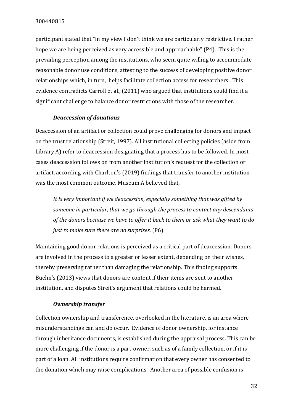participant stated that "in my view I don't think we are particularly restrictive. I rather hope we are being perceived as very accessible and approachable" (P4). This is the prevailing perception among the institutions, who seem quite willing to accommodate reasonable donor use conditions, attesting to the success of developing positive donor relationships which, in turn, helps facilitate collection access for researchers. This evidence contradicts Carroll et al., (2011) who argued that institutions could find it a significant challenge to balance donor restrictions with those of the researcher.

#### *Deaccession of donations*

Deaccession of an artifact or collection could prove challenging for donors and impact on the trust relationship (Streit, 1997). All institutional collecting policies (aside from Library A) refer to deaccession designating that a process has to be followed. In most cases deaccession follows on from another institution's request for the collection or artifact, according with Charlton's (2019) findings that transfer to another institution was the most common outcome. Museum A believed that,

*It is very important if we deaccession, especially something that was gifted by someone in particular, that we go through the process to contact any descendants of the donors because we have to offer it back to them or ask what they want to do just to make sure there are no surprises.* (P6)

Maintaining good donor relations is perceived as a critical part of deaccession. Donors are involved in the process to a greater or lesser extent, depending on their wishes, thereby preserving rather than damaging the relationship. This finding supports Buehn's (2013) views that donors are content if their items are sent to another institution, and disputes Streit's argument that relations could be harmed.

#### *Ownership transfer*

Collection ownership and transference, overlooked in the literature, is an area where misunderstandings can and do occur. Evidence of donor ownership, for instance through inheritance documents, is established during the appraisal process. This can be more challenging if the donor is a part-owner, such as of a family collection, or if it is part of a loan. All institutions require confirmation that every owner has consented to the donation which may raise complications. Another area of possible confusion is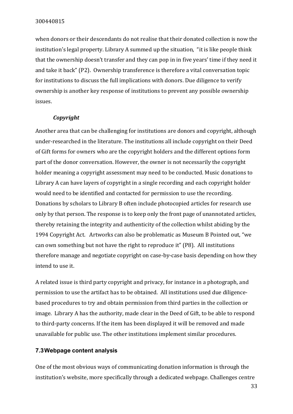when donors or their descendants do not realise that their donated collection is now the institution's legal property. Library A summed up the situation, "it is like people think that the ownership doesn't transfer and they can pop in in five years' time if they need it and take it back" (P2). Ownership transference is therefore a vital conversation topic for institutions to discuss the full implications with donors. Due diligence to verify ownership is another key response of institutions to prevent any possible ownership issues.

## *Copyright*

Another area that can be challenging for institutions are donors and copyright, although under-researched in the literature. The institutions all include copyright on their Deed of Gift forms for owners who are the copyright holders and the different options form part of the donor conversation. However, the owner is not necessarily the copyright holder meaning a copyright assessment may need to be conducted. Music donations to Library A can have layers of copyright in a single recording and each copyright holder would need to be identified and contacted for permission to use the recording. Donations by scholars to Library B often include photocopied articles for research use only by that person. The response is to keep only the front page of unannotated articles, thereby retaining the integrity and authenticity of the collection whilst abiding by the 1994 Copyright Act. Artworks can also be problematic as Museum B Pointed out, "we can own something but not have the right to reproduce it" (P8). All institutions therefore manage and negotiate copyright on case-by-case basis depending on how they intend to use it.

A related issue is third party copyright and privacy, for instance in a photograph, and permission to use the artifact has to be obtained. All institutions used due diligencebased procedures to try and obtain permission from third parties in the collection or image. Library A has the authority, made clear in the Deed of Gift, to be able to respond to third-party concerns. If the item has been displayed it will be removed and made unavailable for public use. The other institutions implement similar procedures.

## <span id="page-32-0"></span>**7.3Webpage content analysis**

One of the most obvious ways of communicating donation information is through the institution's website, more specifically through a dedicated webpage. Challenges centre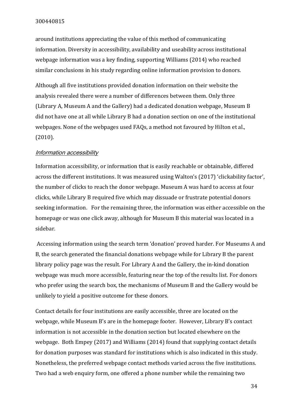around institutions appreciating the value of this method of communicating information. Diversity in accessibility, availability and useability across institutional webpage information was a key finding, supporting Williams (2014) who reached similar conclusions in his study regarding online information provision to donors.

Although all five institutions provided donation information on their website the analysis revealed there were a number of differences between them. Only three (Library A, Museum A and the Gallery) had a dedicated donation webpage, Museum B did not have one at all while Library B had a donation section on one of the institutional webpages. None of the webpages used FAQs, a method not favoured by Hilton et al., (2010).

#### <span id="page-33-0"></span>Information accessibility

Information accessibility, or information that is easily reachable or obtainable, differed across the different institutions. It was measured using Walton's (2017) 'clickability factor', the number of clicks to reach the donor webpage. Museum A was hard to access at four clicks, while Library B required five which may dissuade or frustrate potential donors seeking information. For the remaining three, the information was either accessible on the homepage or was one click away, although for Museum B this material was located in a sidebar.

Accessing information using the search term 'donation' proved harder. For Museums A and B, the search generated the financial donations webpage while for Library B the parent library policy page was the result. For Library A and the Gallery, the in-kind donation webpage was much more accessible, featuring near the top of the results list. For donors who prefer using the search box, the mechanisms of Museum B and the Gallery would be unlikely to yield a positive outcome for these donors.

Contact details for four institutions are easily accessible, three are located on the webpage, while Museum B's are in the homepage footer. However, Library B's contact information is not accessible in the donation section but located elsewhere on the webpage. Both Empey (2017) and Williams (2014) found that supplying contact details for donation purposes was standard for institutions which is also indicated in this study. Nonetheless, the preferred webpage contact methods varied across the five institutions. Two had a web enquiry form, one offered a phone number while the remaining two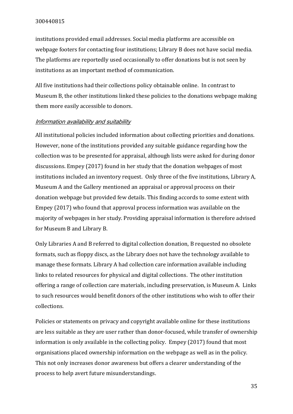institutions provided email addresses. Social media platforms are accessible on webpage footers for contacting four institutions; Library B does not have social media. The platforms are reportedly used occasionally to offer donations but is not seen by institutions as an important method of communication.

All five institutions had their collections policy obtainable online. In contrast to Museum B, the other institutions linked these policies to the donations webpage making them more easily accessible to donors.

#### <span id="page-34-0"></span>Information availability and suitability

All institutional policies included information about collecting priorities and donations. However, none of the institutions provided any suitable guidance regarding how the collection was to be presented for appraisal, although lists were asked for during donor discussions. Empey (2017) found in her study that the donation webpages of most institutions included an inventory request. Only three of the five institutions, Library A, Museum A and the Gallery mentioned an appraisal or approval process on their donation webpage but provided few details. This finding accords to some extent with Empey (2017) who found that approval process information was available on the majority of webpages in her study. Providing appraisal information is therefore advised for Museum B and Library B.

Only Libraries A and B referred to digital collection donation, B requested no obsolete formats, such as floppy discs, as the Library does not have the technology available to manage these formats. Library A had collection care information available including links to related resources for physical and digital collections. The other institution offering a range of collection care materials, including preservation, is Museum A. Links to such resources would benefit donors of the other institutions who wish to offer their collections.

Policies or statements on privacy and copyright available online for these institutions are less suitable as they are user rather than donor-focused, while transfer of ownership information is only available in the collecting policy. Empey (2017) found that most organisations placed ownership information on the webpage as well as in the policy. This not only increases donor awareness but offers a clearer understanding of the process to help avert future misunderstandings.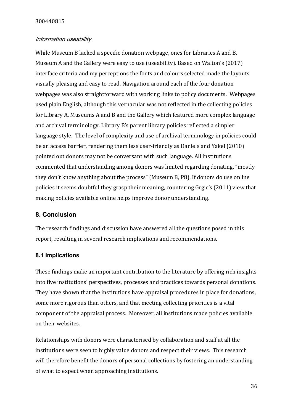#### <span id="page-35-0"></span>Information useability

While Museum B lacked a specific donation webpage, ones for Libraries A and B, Museum A and the Gallery were easy to use (useability). Based on Walton's (2017) interface criteria and my perceptions the fonts and colours selected made the layouts visually pleasing and easy to read. Navigation around each of the four donation webpages was also straightforward with working links to policy documents. Webpages used plain English, although this vernacular was not reflected in the collecting policies for Library A, Museums A and B and the Gallery which featured more complex language and archival terminology. Library B's parent library policies reflected a simpler language style. The level of complexity and use of archival terminology in policies could be an access barrier, rendering them less user-friendly as Daniels and Yakel (2010) pointed out donors may not be conversant with such language. All institutions commented that understanding among donors was limited regarding donating, "mostly they don't know anything about the process" (Museum B, P8). If donors do use online policies it seems doubtful they grasp their meaning, countering Grgic's (2011) view that making policies available online helps improve donor understanding.

#### <span id="page-35-1"></span>**8. Conclusion**

The research findings and discussion have answered all the questions posed in this report, resulting in several research implications and recommendations.

#### <span id="page-35-2"></span>**8.1 Implications**

These findings make an important contribution to the literature by offering rich insights into five institutions' perspectives, processes and practices towards personal donations. They have shown that the institutions have appraisal procedures in place for donations, some more rigorous than others, and that meeting collecting priorities is a vital component of the appraisal process. Moreover, all institutions made policies available on their websites.

Relationships with donors were characterised by collaboration and staff at all the institutions were seen to highly value donors and respect their views. This research will therefore benefit the donors of personal collections by fostering an understanding of what to expect when approaching institutions.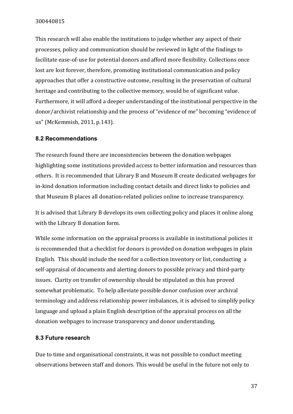This research will also enable the institutions to judge whether any aspect of their processes, policy and communication should be reviewed in light of the findings to facilitate ease-of-use for potential donors and afford more flexibility. Collections once lost are lost forever, therefore, promoting institutional communication and policy approaches that offer a constructive outcome, resulting in the preservation of cultural heritage and contributing to the collective memory, would be of significant value. Furthermore, it will afford a deeper understanding of the institutional perspective in the donor/archivist relationship and the process of "evidence of me" becoming "evidence of us" (McKemmish, 2011, p.143).

## <span id="page-36-0"></span>**8.2 Recommendations**

The research found there are inconsistencies between the donation webpages highlighting some institutions provided access to better information and resources than others. It is recommended that Library B and Museum B create dedicated webpages for in-kind donation information including contact details and direct links to policies and that Museum B places all donation-related policies online to increase transparency.

It is advised that Library B develops its own collecting policy and places it online along with the Library B donation form.

While some information on the appraisal process is available in institutional policies it is recommended that a checklist for donors is provided on donation webpages in plain English. This should include the need for a collection inventory or list, conducting a self-appraisal of documents and alerting donors to possible privacy and third-party issues. Clarity on transfer of ownership should be stipulated as this has proved somewhat problematic. To help alleviate possible donor confusion over archival terminology and address relationship power imbalances, it is advised to simplify policy language and upload a plain English description of the appraisal process on all the donation webpages to increase transparency and donor understanding,

## <span id="page-36-1"></span>**8.3 Future research**

Due to time and organisational constraints, it was not possible to conduct meeting observations between staff and donors. This would be useful in the future not only to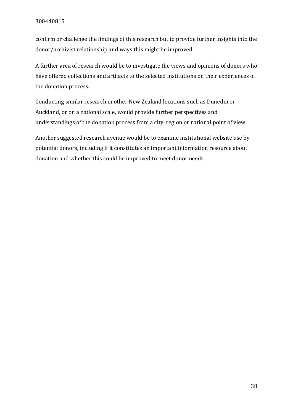confirm or challenge the findings of this research but to provide further insights into the donor/archivist relationship and ways this might be improved.

A further area of research would be to investigate the views and opinions of donors who have offered collections and artifacts to the selected institutions on their experiences of the donation process.

Conducting similar research in other New Zealand locations such as Dunedin or Auckland, or on a national scale, would provide further perspectives and understandings of the donation process from a city, region or national point of view.

Another suggested research avenue would be to examine institutional website use by potential donors, including if it constitutes an important information resource about donation and whether this could be improved to meet donor needs.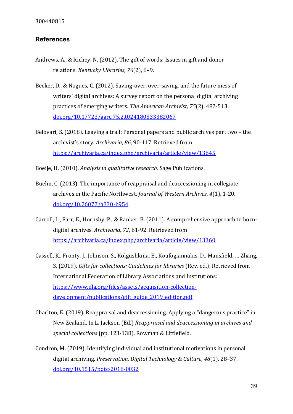## <span id="page-38-0"></span>**References**

- Andrews, A., & Richey, N. (2012). The gift of words: Issues in gift and donor relations. *Kentucky Libraries*, *76*(2), 6–9.
- Becker, D., & Nogues, C. (2012). Saving-over, over-saving, and the future mess of writers' digital archives: A survey report on the personal digital archiving practices of emerging writers. *The American Archivist, 75*(2), 482-513. [doi.org/10.17723/aarc.75.2.t024180533382067](https://doi.org/10.17723/aarc.75.2.t024180533382067)
- Belovari, S. (2018). Leaving a trail: Personal papers and public archives part two the archivist's story. *Archivaria*, *86*, 90-117. Retrieved from <https://archivaria.ca/index.php/archivaria/article/view/13645>
- Boeije, H. (2010). *Analysis in qualitative research*. Sage Publications.
- Buehn, C. (2013). The importance of reappraisal and deaccessioning in collegiate archives in the Pacific Northwest, *Journal of Western Archives*, *4*(1), 1-20. [doi.org/10.26077/a330-b954](https://doi.org/10.26077/a330-b954)
- Carroll, L., Farr, E., Hornsby, P., & Ranker, B. (2011). A comprehensive approach to borndigital archives. *Archivaria, 72*, 61-92. Retrieved from <https://archivaria.ca/index.php/archivaria/article/view/13360>
- Cassell, K., Fronty, J., Johnson, S., Kolgushkina, E., Koufogiannakis, D., Mansfield, … Zhang, S. (2019). *Gifts for collections: Guidelines for libraries* (Rev. ed.). Retrieved from International Federation of Library Associations and Institutions: [https://www.ifla.org/files/assets/acquisition-collection](https://www.ifla.org/files/assets/acquisition-collection-development/publications/gift_guide_2019_edition.pdf)[development/publications/gift\\_guide\\_2019\\_edition.pdf](https://www.ifla.org/files/assets/acquisition-collection-development/publications/gift_guide_2019_edition.pdf)
- Charlton, E. (2019). Reappraisal and deaccessioning. Applying a "dangerous practice" in New Zealand. In L. Jackson (Ed.) *Reappraisal and deaccessioning in archives and special collections* (pp. 123-138). Rowman & Littlefield.
- Condron, M. (2019). Identifying individual and institutional motivations in personal digital archiving. *Preservation, Digital Technology & Culture, 48*(1), 28–37. doi.org/10.1515/pdtc-2018-0032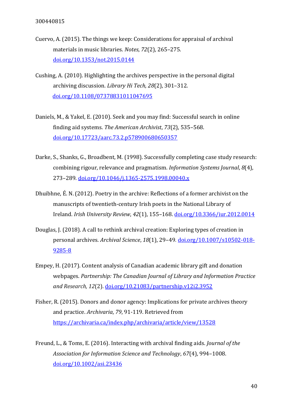- Cuervo, A. (2015). The things we keep: Considerations for appraisal of archival materials in music libraries. *Notes*, *72*(2), 265–275. [doi.org/10.1353/not.2015.0144](https://doi.org/10.1353/not.2015.0144)
- Cushing, A. (2010). Highlighting the archives perspective in the personal digital archiving discussion. *Library Hi Tech, 28*(2), 301–312. [doi.org/10.1108/07378831011047695](https://doi.org/10.1108/07378831011047695)
- Daniels, M., & Yakel, E. (2010). Seek and you may find: Successful search in online finding aid systems. *The American Archivist*, *73*(2), 535–568. [doi.org/10.17723/aarc.73.2.p578900680650357](https://doi.org/10.17723/aarc.73.2.p578900680650357)
- Darke, S., Shanks, G., Broadbent, M. (1998). Successfully completing case study research: combining rigour, relevance and pragmatism. *Information Systems Journal*, *8*(4), 273–289. [doi.org/10.1046/j.1365-2575.1998.00040.x](https://doi.org/10.1046/j.1365-2575.1998.00040.x)
- Dhuibhne, É. N. (2012). Poetry in the archive: Reflections of a former archivist on the manuscripts of twentieth-century Irish poets in the National Library of Ireland. *Irish University Review*, *42*(1), 155–168. [doi.org/10.3366/iur.2012.0014](https://doi.org/10.3366/iur.2012.0014)
- Douglas, J. (2018). A call to rethink archival creation: Exploring types of creation in personal archives. *Archival Science*, *18*(1), 29–49. [doi.org/10.1007/s10502-018-](https://doi.org/10.1007/s10502-018-9285-8) [9285-8](https://doi.org/10.1007/s10502-018-9285-8)
- Empey, H. (2017). Content analysis of Canadian academic library gift and donation webpages. *Partnership: The Canadian Journal of Library and Information Practice and Research, 12*(2). [doi.org/10.21083/partnership.v12i2.3952](https://doi.org/10.21083/partnership.v12i2.3952)
- Fisher, R. (2015). Donors and donor agency: Implications for private archives theory and practice. *Archivaria*, *79*, 91-119. Retrieved from <https://archivaria.ca/index.php/archivaria/article/view/13528>
- Freund, L., & Toms, E. (2016). Interacting with archival finding aids. *Journal of the Association for Information Science and Technology*, *67*(4), 994–1008. [doi.org/10.1002/asi.23436](https://doi.org/10.1002/asi.23436)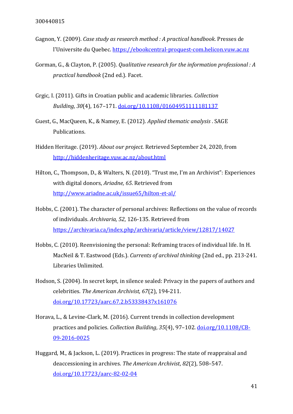- Gagnon, Y. (2009). *Case study as research method : A practical handbook*. Presses de l'Universite du Quebec. [https://ebookcentral-proquest-com.helicon.vuw.ac.nz](https://ebookcentral-proquest-com.helicon.vuw.ac.nz/)
- Gorman, G., & Clayton, P. (2005). *Qualitative research for the information professional : A practical handbook* (2nd ed.). Facet.
- Grgic, I. (2011). Gifts in Croatian public and academic libraries. *Collection Building*, *30*(4), 167–171. [doi.org/10.1108/01604951111181137](https://doi.org/10.1108/01604951111181137)
- Guest, G., MacQueen, K., & Namey, E. (2012). *Applied thematic analysis* . SAGE Publications.
- Hidden Heritage. (2019). *About our project.* Retrieved September 24, 2020, from <http://hiddenheritage.vuw.ac.nz/about.html>
- Hilton, C., Thompson, D., & Walters, N. (2010). "Trust me, I'm an Archivist": Experiences with digital donors, *Ariadne, 65*. Retrieved from <http://www.ariadne.ac.uk/issue65/hilton-et-al/>
- Hobbs, C. (2001). The character of personal archives: Reflections on the value of records of individuals. *Archivaria, 52*, 126-135. Retrieved from <https://archivaria.ca/index.php/archivaria/article/view/12817/14027>
- Hobbs, C. (2010). Reenvisioning the personal: Reframing traces of individual life. In H. MacNeil & T. Eastwood (Eds.). *Currents of archival thinking* (2nd ed., pp. 213-241. Libraries Unlimited.
- Hodson, S. (2004). In secret kept, in silence sealed: Privacy in the papers of authors and celebrities. *The American Archivist, 67*(2), 194-211. [doi.org/10.17723/aarc.67.2.b53338437x161076](https://doi.org/10.17723/aarc.67.2.b53338437x161076)
- Horava, L., & Levine-Clark, M. (2016). Current trends in collection development practices and policies. *Collection Building*, *35*(4), 97–102. [doi.org/10.1108/CB-](https://doi.org/10.1108/CB-09-2016-0025)[09-2016-0025](https://doi.org/10.1108/CB-09-2016-0025)
- Huggard, M., & Jackson, L. (2019). Practices in progress: The state of reappraisal and deaccessioning in archives. *The American Archivist*, *82*(2), 508–547. [doi.org/10.17723/aarc-82-02-04](https://doi.org/10.17723/aarc-82-02-04)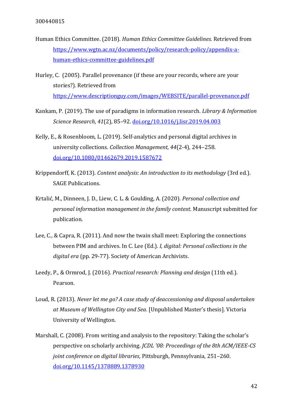- Human Ethics Committee. (2018). *Human Ethics Committee Guidelines.* Retrieved from [https://www.wgtn.ac.nz/documents/policy/research-policy/appendix-a](https://www.wgtn.ac.nz/documents/policy/research-policy/appendix-a-human-ethics-committee-guidelines.pdf)[human-ethics-committee-guidelines.pdf](https://www.wgtn.ac.nz/documents/policy/research-policy/appendix-a-human-ethics-committee-guidelines.pdf)
- Hurley, C. (2005). Parallel provenance (if these are your records, where are your stories?). Retrieved from <https://www.descriptionguy.com/images/WEBSITE/parallel-provenance.pdf>
- Kankam, P. (2019). The use of paradigms in information research. *Library & Information Science Research*, *41*(2), 85–92. [doi.org/10.1016/j.lisr.2019.04.003](https://doi.org/10.1016/j.lisr.2019.04.003)
- Kelly, E., & Rosenbloom, L. (2019). Self-analytics and personal digital archives in university collections. *Collection Management, 44*(2-4), 244–258. [doi.org/10.1080/01462679.2019.1587672](https://doi.org/10.1080/01462679.2019.1587672)
- Krippendorff, K. (2013). *Content analysis: An introduction to its methodology* (3rd ed.). SAGE Publications.
- Krtalić, M., Dinneen, J. D., Liew, C. L. & Goulding, A. (2020). *Personal collection and personal information management in the family context*. Manuscript submitted for publication.
- Lee, C., & Capra, R. (2011). And now the twain shall meet: Exploring the connections between PIM and archives. In C. Lee (Ed.). *I, digital: Personal collections in the digital era* (pp. 29-77). Society of American Archivists.
- Leedy, P., & Ormrod, J. (2016). *Practical research: Planning and design* (11th ed.). Pearson.
- Loud, R. (2013). *Never let me go? A case study of deaccessioning and disposal undertaken at Museum of Wellington City and Sea*. [Unpublished Master's thesis]. Victoria University of Wellington.
- Marshall, C. (2008). From writing and analysis to the repository: Taking the scholar's perspective on scholarly archiving. *[JCDL '08: Proceedings of the 8th ACM/IEEE-CS](https://dl.acm.org/doi/proceedings/10.1145/1378889)  [joint conference on digital libraries](https://dl.acm.org/doi/proceedings/10.1145/1378889)*, Pittsburgh, Pennsylvania, 251–260. [doi.org/10.1145/1378889.1378930](https://doi.org/10.1145/1378889.1378930)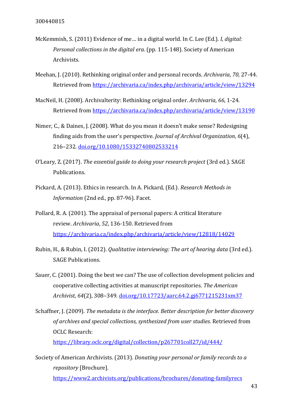- McKemmish, S. (2011) Evidence of me… in a digital world. In C. Lee (Ed.). *I, digital: Personal collections in the digital era.* (pp. 115-148). Society of American Archivists.
- Meehan, J. (2010). Rethinking original order and personal records. *Archivaria*, *70*, 27-44. Retrieved from<https://archivaria.ca/index.php/archivaria/article/view/13294>
- MacNeil, H. (2008). Archivalterity: Rethinking original order. *Archivaria*, *66*, 1-24. Retrieved from<https://archivaria.ca/index.php/archivaria/article/view/13190>
- Nimer, C., & Daines, J. (2008). What do you mean it doesn't make sense? Redesigning finding aids from the user's perspective. *Journal of Archival Organization*, *6*(4), 216–232. [doi.org/10.1080/15332740802533214](https://doi.org/10.1080/15332740802533214)
- O'Leary, Z. (2017). *The essential guide to doing your research project* (3rd ed.). SAGE Publications.
- Pickard, A. (2013). Ethics in research. In A. Pickard, (Ed.). *Research Methods in Information* (2nd ed., pp. 87-96). Facet.
- Pollard, R. A. (2001). The appraisal of personal papers: A critical literature review. *Archivaria*, *52*, 136-150. Retrieved from <https://archivaria.ca/index.php/archivaria/article/view/12818/14029>
- Rubin, H., & Rubin, I. (2012). *Qualitative interviewing: The art of hearing data* (3rd ed.). SAGE Publications.
- Sauer, C. (2001). Doing the best we can? The use of collection development policies and cooperative collecting activities at manuscript repositories. *The American Archivist*, *64*(2), 308–349. [doi.org/10.17723/aarc.64.2.gj6771215231xm37](https://doi.org/10.17723/aarc.64.2.gj6771215231xm37)
- Schaffner, J. (2009). *The metadata is the interface. Better description for better discovery of archives and special collections, synthesized from user studies.* Retrieved from OCLC Research: <https://library.oclc.org/digital/collection/p267701coll27/id/444/>

Society of American Archivists. (2013). *Donating your personal or family records to a repository* [Brochure].

<https://www2.archivists.org/publications/brochures/donating-familyrecs>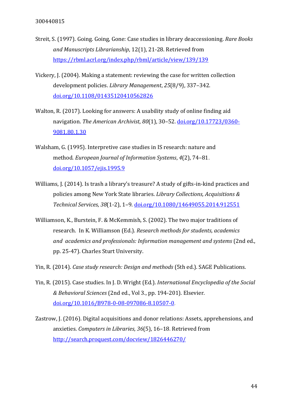- Streit, S. (1997). Going. Going, Gone: Case studies in library deaccessioning. *Rare Books and Manuscripts Librarianship*, 12(1), 21-28. Retrieved from <https://rbml.acrl.org/index.php/rbml/article/view/139/139>
- Vickery, J. (2004). Making a statement: reviewing the case for written collection development policies. *Library Management*, *25*(8/9), 337–342. [doi.org/10.1108/01435120410562826](https://doi.org/10.1108/01435120410562826)
- Walton, R. (2017). Looking for answers: A usability study of online finding aid navigation. *The American Archivist*, *80*(1), 30–52. [doi.org/10.17723/0360-](https://doi.org/10.17723/0360-9081.80.1.30) [9081.80.1.30](https://doi.org/10.17723/0360-9081.80.1.30)
- Walsham, G. (1995). Interpretive case studies in IS research: nature and method. *European Journal of Information Systems*, *4*(2), 74–81. [doi.org/10.1057/ejis.1995.9](https://doi.org/10.1057/ejis.1995.9)
- Williams, J. (2014). Is trash a library's treasure? A study of gifts-in-kind practices and policies among New York State libraries. *Library Collections, Acquisitions & Technical Services*, *38*(1-2), 1–9. [doi.org/10.1080/14649055.2014.912551](https://doi.org/10.1080/14649055.2014.912551)
- Williamson, K., Burstein, F. & McKemmish, S. (2002). The two major traditions of research. In K. Williamson (Ed.). *Research methods for students, academics and academics and professionals: Information management and systems* (2nd ed., pp. 25-47). Charles Sturt University.
- Yin, R. (2014). *Case study research: Design and methods* (5th ed.). SAGE Publications.
- Yin, R. (2015). Case studies. In J. D. Wright (Ed.). *International Encyclopedia of the Social & Behavioral Sciences* (2nd ed., Vol 3., pp. 194-201). Elsevier. [doi.org/10.1016/B978-0-08-097086-8.10507-0.](https://doi.org/10.1016/B978-0-08-097086-8.10507-0)
- Zastrow, J. (2016). Digital acquisitions and donor relations: Assets, apprehensions, and anxieties. *Computers in Libraries*, *36*(5), 16–18. Retrieved from <http://search.proquest.com/docview/1826446270/>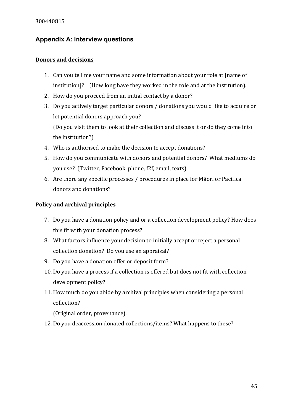## <span id="page-44-0"></span>**Appendix A: Interview questions**

## **Donors and decisions**

- 1. Can you tell me your name and some information about your role at [name of institution]? (How long have they worked in the role and at the institution).
- 2. How do you proceed from an initial contact by a donor?
- 3. Do you actively target particular donors / donations you would like to acquire or let potential donors approach you? (Do you visit them to look at their collection and discuss it or do they come into the institution?)
- 4. Who is authorised to make the decision to accept donations?
- 5. How do you communicate with donors and potential donors? What mediums do you use? (Twitter, Facebook, phone, f2f, email, texts).
- 6. Are there any specific processes / procedures in place for Māori or Pacifica donors and donations?

## **Policy and archival principles**

- 7. Do you have a donation policy and or a collection development policy? How does this fit with your donation process?
- 8. What factors influence your decision to initially accept or reject a personal collection donation? Do you use an appraisal?
- 9. Do you have a donation offer or deposit form?
- 10. Do you have a process if a collection is offered but does not fit with collection development policy?
- 11. How much do you abide by archival principles when considering a personal collection?

(Original order, provenance).

12. Do you deaccession donated collections/items? What happens to these?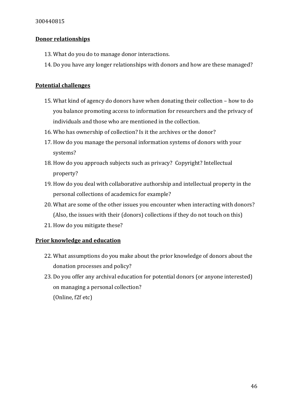## **Donor relationships**

- 13. What do you do to manage donor interactions.
- 14. Do you have any longer relationships with donors and how are these managed?

## **Potential challenges**

- 15. What kind of agency do donors have when donating their collection how to do you balance promoting access to information for researchers and the privacy of individuals and those who are mentioned in the collection.
- 16. Who has ownership of collection? Is it the archives or the donor?
- 17. How do you manage the personal information systems of donors with your systems?
- 18. How do you approach subjects such as privacy? Copyright? Intellectual property?
- 19. How do you deal with collaborative authorship and intellectual property in the personal collections of academics for example?
- 20. What are some of the other issues you encounter when interacting with donors? (Also, the issues with their (donors) collections if they do not touch on this)
- 21. How do you mitigate these?

## **Prior knowledge and education**

- 22. What assumptions do you make about the prior knowledge of donors about the donation processes and policy?
- 23. Do you offer any archival education for potential donors (or anyone interested) on managing a personal collection? (Online, f2f etc)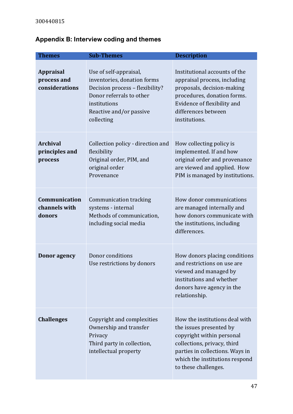# <span id="page-46-0"></span>**Appendix B: Interview coding and themes**

| <b>Themes</b>                                     | <b>Sub-Themes</b>                                                                                                                                                             | <b>Description</b>                                                                                                                                                                                                 |
|---------------------------------------------------|-------------------------------------------------------------------------------------------------------------------------------------------------------------------------------|--------------------------------------------------------------------------------------------------------------------------------------------------------------------------------------------------------------------|
| <b>Appraisal</b><br>process and<br>considerations | Use of self-appraisal,<br>inventories, donation forms<br>Decision process - flexibility?<br>Donor referrals to other<br>institutions<br>Reactive and/or passive<br>collecting | Institutional accounts of the<br>appraisal process, including<br>proposals, decision-making<br>procedures, donation forms.<br>Evidence of flexibility and<br>differences between<br>institutions.                  |
| <b>Archival</b><br>principles and<br>process      | Collection policy - direction and<br>flexibility<br>Original order, PIM, and<br>original order<br>Provenance                                                                  | How collecting policy is<br>implemented. If and how<br>original order and provenance<br>are viewed and applied. How<br>PIM is managed by institutions.                                                             |
| Communication<br>channels with<br>donors          | Communication tracking<br>systems - internal<br>Methods of communication,<br>including social media                                                                           | How donor communications<br>are managed internally and<br>how donors communicate with<br>the institutions, including<br>differences.                                                                               |
| <b>Donor</b> agency                               | Donor conditions<br>Use restrictions by donors                                                                                                                                | How donors placing conditions<br>and restrictions on use are<br>viewed and managed by<br>institutions and whether<br>donors have agency in the<br>relationship.                                                    |
| <b>Challenges</b>                                 | Copyright and complexities<br>Ownership and transfer<br>Privacy<br>Third party in collection,<br>intellectual property                                                        | How the institutions deal with<br>the issues presented by<br>copyright within personal<br>collections, privacy, third<br>parties in collections. Ways in<br>which the institutions respond<br>to these challenges. |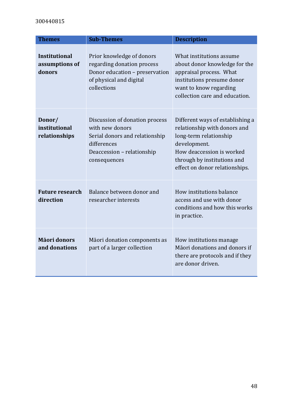| <b>Themes</b>                                    | <b>Sub-Themes</b>                                                                                                                                | <b>Description</b>                                                                                                                                                                                       |
|--------------------------------------------------|--------------------------------------------------------------------------------------------------------------------------------------------------|----------------------------------------------------------------------------------------------------------------------------------------------------------------------------------------------------------|
| <b>Institutional</b><br>assumptions of<br>donors | Prior knowledge of donors<br>regarding donation process<br>Donor education - preservation<br>of physical and digital<br>collections              | What institutions assume<br>about donor knowledge for the<br>appraisal process. What<br>institutions presume donor<br>want to know regarding<br>collection care and education.                           |
| Donor/<br>institutional<br>relationships         | Discussion of donation process<br>with new donors<br>Serial donors and relationship<br>differences<br>Deaccession - relationship<br>consequences | Different ways of establishing a<br>relationship with donors and<br>long-term relationship<br>development.<br>How deaccession is worked<br>through by institutions and<br>effect on donor relationships. |
| <b>Future research</b><br>direction              | Balance between donor and<br>researcher interests                                                                                                | How institutions balance<br>access and use with donor<br>conditions and how this works<br>in practice.                                                                                                   |
| <b>Māori donors</b><br>and donations             | Māori donation components as<br>part of a larger collection                                                                                      | How institutions manage<br>Māori donations and donors if<br>there are protocols and if they<br>are donor driven.                                                                                         |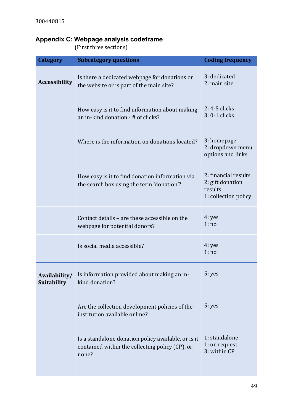# <span id="page-48-0"></span>**Appendix C: Webpage analysis codeframe**

(First three sections)

| <b>Category</b>      | <b>Subcategory questions</b>                                                                                    | <b>Coding frequency</b>                                                     |
|----------------------|-----------------------------------------------------------------------------------------------------------------|-----------------------------------------------------------------------------|
| <b>Accessibility</b> | Is there a dedicated webpage for donations on<br>the website or is part of the main site?                       | 3: dedicated<br>2: main site                                                |
|                      | How easy is it to find information about making<br>an in-kind donation - # of clicks?                           | 2: 4-5 clicks<br>3: 0-1 clicks                                              |
|                      | Where is the information on donations located?                                                                  | 3: homepage<br>2: dropdown menu<br>options and links                        |
|                      | How easy is it to find donation information via<br>the search box using the term 'donation'?                    | 2: financial results<br>2: gift donation<br>results<br>1: collection policy |
|                      | Contact details - are these accessible on the<br>webpage for potential donors?                                  | 4: yes<br>1:no                                                              |
|                      | Is social media accessible?                                                                                     | 4: yes<br>1:no                                                              |
| <b>Suitability</b>   | Availability/ Is information provided about making an in-<br>kind donation?                                     | 5: yes                                                                      |
|                      | Are the collection development policies of the<br>institution available online?                                 | 5: yes                                                                      |
|                      | Is a standalone donation policy available, or is it<br>contained within the collecting policy (CP), or<br>none? | 1: standalone<br>1: on request<br>3: within CP                              |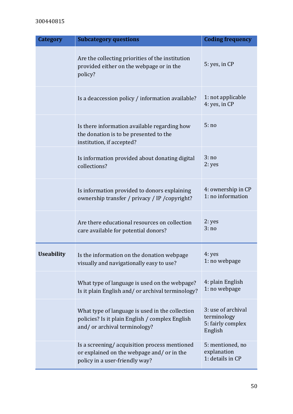| <b>Category</b>   | <b>Subcategory questions</b>                                                                                                       | <b>Coding frequency</b>                                           |
|-------------------|------------------------------------------------------------------------------------------------------------------------------------|-------------------------------------------------------------------|
|                   | Are the collecting priorities of the institution<br>provided either on the webpage or in the<br>policy?                            | 5: yes, in CP                                                     |
|                   | Is a deaccession policy / information available?                                                                                   | 1: not applicable<br>4: yes, in CP                                |
|                   | Is there information available regarding how<br>the donation is to be presented to the<br>institution, if accepted?                | 5:no                                                              |
|                   | Is information provided about donating digital<br>collections?                                                                     | 3:no<br>2: yes                                                    |
|                   | Is information provided to donors explaining<br>ownership transfer / privacy / IP / copyright?                                     | 4: ownership in CP<br>1: no information                           |
|                   | Are there educational resources on collection<br>care available for potential donors?                                              | 2: yes<br>3:no                                                    |
| <b>Useability</b> | Is the information on the donation webpage<br>visually and navigationally easy to use?                                             | 4: yes<br>1: no webpage                                           |
|                   | What type of language is used on the webpage?<br>Is it plain English and/or archival terminology?                                  | 4: plain English<br>1: no webpage                                 |
|                   | What type of language is used in the collection<br>policies? Is it plain English / complex English<br>and/or archival terminology? | 3: use of archival<br>terminology<br>5: fairly complex<br>English |
|                   | Is a screening/acquisition process mentioned<br>or explained on the webpage and/or in the<br>policy in a user-friendly way?        | 5: mentioned, no<br>explanation<br>1: details in CP               |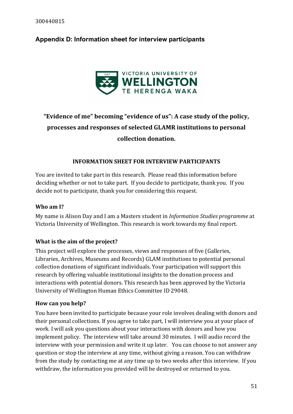## <span id="page-50-0"></span>**Appendix D: Information sheet for interview participants**



# **"Evidence of me" becoming "evidence of us": A case study of the policy, processes and responses of selected GLAMR institutions to personal collection donation.**

## **INFORMATION SHEET FOR INTERVIEW PARTICIPANTS**

You are invited to take part in this research. Please read this information before deciding whether or not to take part. If you decide to participate, thank you. If you decide not to participate, thank you for considering this request.

### **Who am I?**

My name is Alison Day and I am a Masters student in *Information Studies programme* at Victoria University of Wellington. This research is work towards my final report.

## **What is the aim of the project?**

This project will explore the processes, views and responses of five (Galleries, Libraries, Archives, Museums and Records) GLAM institutions to potential personal collection donations of significant individuals. Your participation will support this research by offering valuable institutional insights to the donation process and interactions with potential donors. This research has been approved by the Victoria University of Wellington Human Ethics Committee ID 29048.

#### **How can you help?**

You have been invited to participate because your role involves dealing with donors and their personal collections. If you agree to take part, I will interview you at your place of work. I will ask you questions about your interactions with donors and how you implement policy. The interview will take around 30 minutes. I will audio record the interview with your permission and write it up later. You can choose to not answer any question or stop the interview at any time, without giving a reason. You can withdraw from the study by contacting me at any time up to two weeks after this interview*.* If you withdraw, the information you provided will be destroyed or returned to you.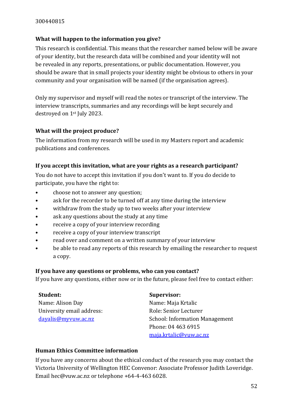## **What will happen to the information you give?**

This research is confidential. This means that the researcher named below will be aware of your identity, but the research data will be combined and your identity will not be revealed in any reports, presentations, or public documentation. However, you should be aware that in small projects your identity might be obvious to others in your community and your organisation will be named (if the organisation agrees).

Only my supervisor and myself will read the notes or transcript of the interview. The interview transcripts, summaries and any recordings will be kept securely and destroyed on 1st July 2023.

## **What will the project produce?**

The information from my research will be used in my Masters report and academic publications and conferences*.*

## **If you accept this invitation, what are your rights as a research participant?**

You do not have to accept this invitation if you don't want to. If you do decide to participate, you have the right to:

- choose not to answer any question;
- ask for the recorder to be turned off at any time during the interview
- withdraw from the study up to two weeks after your interview
- ask any questions about the study at any time
- receive a copy of your interview recording
- receive a copy of your interview transcript
- read over and comment on a written summary of your interview
- be able to read any reports of this research by emailing the researcher to request a copy.

#### **If you have any questions or problems, who can you contact?**

If you have any questions, either now or in the future, please feel free to contact either:

#### **Student:**

Name: Alison Day University email address: [dayalis@myvuw.ac.nz](mailto:dayalis@myvuw.ac.nz)

#### **Supervisor:**

Name: Maja Krtalic Role: Senior Lecturer School: Information Management Phone: 04 463 6915 [maja.krtalic@vuw.ac.nz](mailto:maja.krtalic@vuw.ac.nz)

## **Human Ethics Committee information**

If you have any concerns about the ethical conduct of the research you may contact the Victoria University of Wellington HEC Convenor: Associate Professor Judith Loveridge. Email hec@vuw.ac.nz or telephone +64-4-463 6028.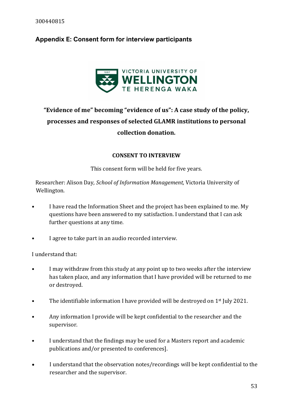# <span id="page-52-0"></span>**Appendix E: Consent form for interview participants**



# **"Evidence of me" becoming "evidence of us": A case study of the policy, processes and responses of selected GLAMR institutions to personal collection donation.**

## **CONSENT TO INTERVIEW**

This consent form will be held for five years.

Researcher: Alison Day*, School of Information Management,* Victoria University of Wellington*.*

- I have read the Information Sheet and the project has been explained to me. My questions have been answered to my satisfaction. I understand that I can ask further questions at any time.
- I agree to take part in an audio recorded interview.

I understand that:

- I may withdraw from this study at any point up to two weeks after the interview has taken place, and any information that I have provided will be returned to me or destroyed.
- The identifiable information I have provided will be destroved on 1<sup>st</sup> July 2021.
- Any information I provide will be kept confidential to the researcher and the supervisor.
- I understand that the findings may be used for a Masters report and academic publications and/or presented to conferences].
- I understand that the observation notes/recordings will be kept confidential to the researcher and the supervisor.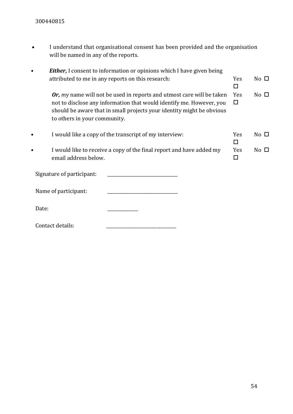• I understand that organisational consent has been provided and the organisation will be named in any of the reports.

| <b>Either, I</b> consent to information or opinions which I have given being                                                                                                                                                                           |           |              |
|--------------------------------------------------------------------------------------------------------------------------------------------------------------------------------------------------------------------------------------------------------|-----------|--------------|
| attributed to me in any reports on this research:                                                                                                                                                                                                      | Yes<br>ΙI | No $\square$ |
| Or, my name will not be used in reports and utmost care will be taken<br>not to disclose any information that would identify me. However, you<br>should be aware that in small projects your identity might be obvious<br>to others in your community. | Yes<br>□  | No $\square$ |
| I would like a copy of the transcript of my interview:                                                                                                                                                                                                 | Yes<br>П  | No $\square$ |
| I would like to receive a copy of the final report and have added my<br>email address below.                                                                                                                                                           | Yes<br>П  | No $\square$ |
| Signature of participant:                                                                                                                                                                                                                              |           |              |
| Name of participant:                                                                                                                                                                                                                                   |           |              |
| Date:                                                                                                                                                                                                                                                  |           |              |
|                                                                                                                                                                                                                                                        |           |              |

Contact details: \_\_\_\_\_\_\_\_\_\_\_\_\_\_\_\_\_\_\_\_\_\_\_\_\_\_\_\_\_\_\_\_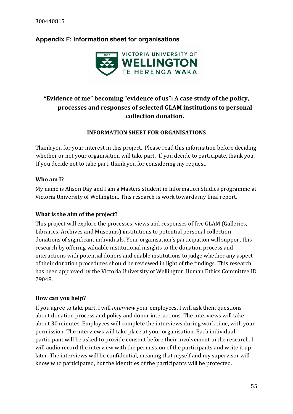## <span id="page-54-0"></span>**Appendix F: Information sheet for organisations**



# "**Evidence of me" becoming "evidence of us": A case study of the policy, processes and responses of selected GLAM institutions to personal collection donation.**

## **INFORMATION SHEET FOR ORGANISATIONS**

Thank you for your interest in this project. Please read this information before deciding whether or not your organisation will take part. If you decide to participate, thank you. If you decide not to take part, thank you for considering my request.

## **Who am I?**

My name is Alison Day and I am a Masters student in Information Studies programme at Victoria University of Wellington. This research is work towards my final report.

## **What is the aim of the project?**

This project will explore the processes, views and responses of five GLAM (Galleries, Libraries, Archives and Museums) institutions to potential personal collection donations of significant individuals. Your organisation's participation will support this research by offering valuable institutional insights to the donation process and interactions with potential donors and enable institutions to judge whether any aspect of their donation procedures should be reviewed in light of the findings. This research has been approved by the Victoria University of Wellington Human Ethics Committee ID 29048.

## **How can you help?**

If you agree to take part, I will *interview* your employees. I will ask them questions about donation process and policy and donor interactions. The interviews will take about 30 minutes. Employees will complete the interviews during work time, with your permission. The interviews will take place at your organisation. Each individual participant will be asked to provide consent before their involvement in the research. I will audio record the interview with the permission of the participants and write it up later. The interviews will be confidential, meaning that myself and my supervisor will know who participated, but the identities of the participants will be protected.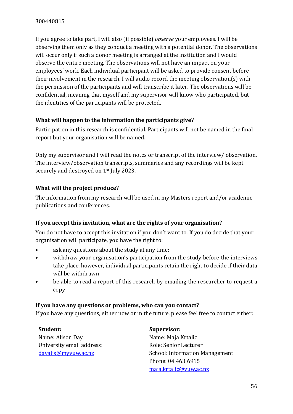If you agree to take part, I will also (if possible) *observe* your employees. I will be observing them only as they conduct a meeting with a potential donor. The observations will occur only if such a donor meeting is arranged at the institution and I would observe the entire meeting. The observations will not have an impact on your employees' work. Each individual participant will be asked to provide consent before their involvement in the research. I will audio record the meeting observation(s) with the permission of the participants and will transcribe it later. The observations will be confidential, meaning that myself and my supervisor will know who participated, but the identities of the participants will be protected.

## **What will happen to the information the participants give?**

Participation in this research is confidential. Participants will not be named in the final report but your organisation will be named.

Only my supervisor and I will read the notes or transcript of the interview/ observation. The interview/observation transcripts, summaries and any recordings will be kept securely and destroyed on 1<sup>st</sup> July 2023.

## **What will the project produce?**

The information from my research will be used in my Masters report and/or academic publications and conferences*.*

#### **If you accept this invitation, what are the rights of your organisation?**

You do not have to accept this invitation if you don't want to. If you do decide that your organisation will participate, you have the right to:

- ask any questions about the study at any time;
- withdraw your organisation's participation from the study before the interviews take place, however, individual participants retain the right to decide if their data will be withdrawn
- be able to read a report of this research by emailing the researcher to request a copy

#### **If you have any questions or problems, who can you contact?**

If you have any questions, either now or in the future, please feel free to contact either:

**Student:** Name: Alison Day University email address: [dayalis@myvuw.ac.nz](mailto:dayalis@myvuw.ac.nz)

#### **Supervisor:**

Name: Maja Krtalic Role: Senior Lecturer School: Information Management Phone: 04 463 6915 [maja.krtalic@vuw.ac.nz](mailto:maja.krtalic@vuw.ac.nz)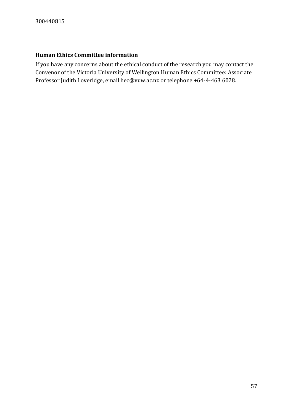### **Human Ethics Committee information**

If you have any concerns about the ethical conduct of the research you may contact the Convenor of the Victoria University of Wellington Human Ethics Committee: Associate Professor Judith Loveridge, email hec@vuw.ac.nz or telephone +64-4-463 6028.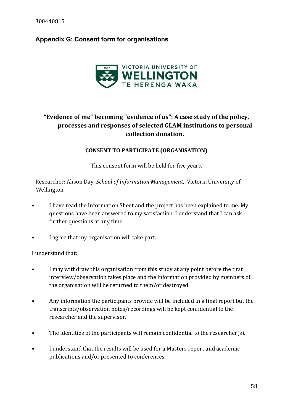## <span id="page-57-0"></span>**Appendix G: Consent form for organisations**



# **"Evidence of me" becoming "evidence of us": A case study of the policy, processes and responses of selected GLAM institutions to personal collection donation.**

#### **CONSENT TO PARTICIPATE (ORGANISATION)**

This consent form will be held for five years.

Researcher: Alison Day*, School of Information Management,* Victoria University of Wellington*.*

- I have read the Information Sheet and the project has been explained to me. My questions have been answered to my satisfaction. I understand that I can ask further questions at any time.
- I agree that my organisation will take part.

I understand that:

- I may withdraw this organisation from this study at any point before the first interview/observation takes place and the information provided by members of the organisation will be returned to them/or destroyed.
- Any information the participants provide will be included in a final report but the transcripts/observation notes/recordings will be kept confidential to the researcher and the supervisor.
- The identities of the participants will remain confidential to the researcher(s).
- I understand that the results will be used for a Masters report and academic publications and/or presented to conferences.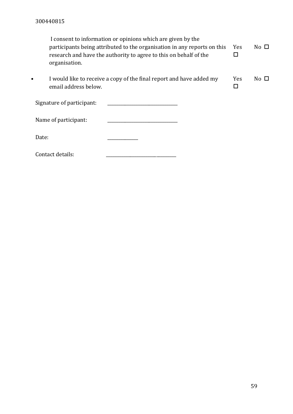| organisation.                     | I consent to information or opinions which are given by the<br>participants being attributed to the organisation in any reports on this<br>research and have the authority to agree to this on behalf of the | <b>Yes</b> | No $\Box$      |
|-----------------------------------|--------------------------------------------------------------------------------------------------------------------------------------------------------------------------------------------------------------|------------|----------------|
| $\bullet$<br>email address below. | I would like to receive a copy of the final report and have added my                                                                                                                                         | <b>Yes</b> | $No$ $\square$ |
| Signature of participant:         |                                                                                                                                                                                                              |            |                |
| Name of participant:              |                                                                                                                                                                                                              |            |                |
| Date:                             |                                                                                                                                                                                                              |            |                |
| Contact details:                  |                                                                                                                                                                                                              |            |                |